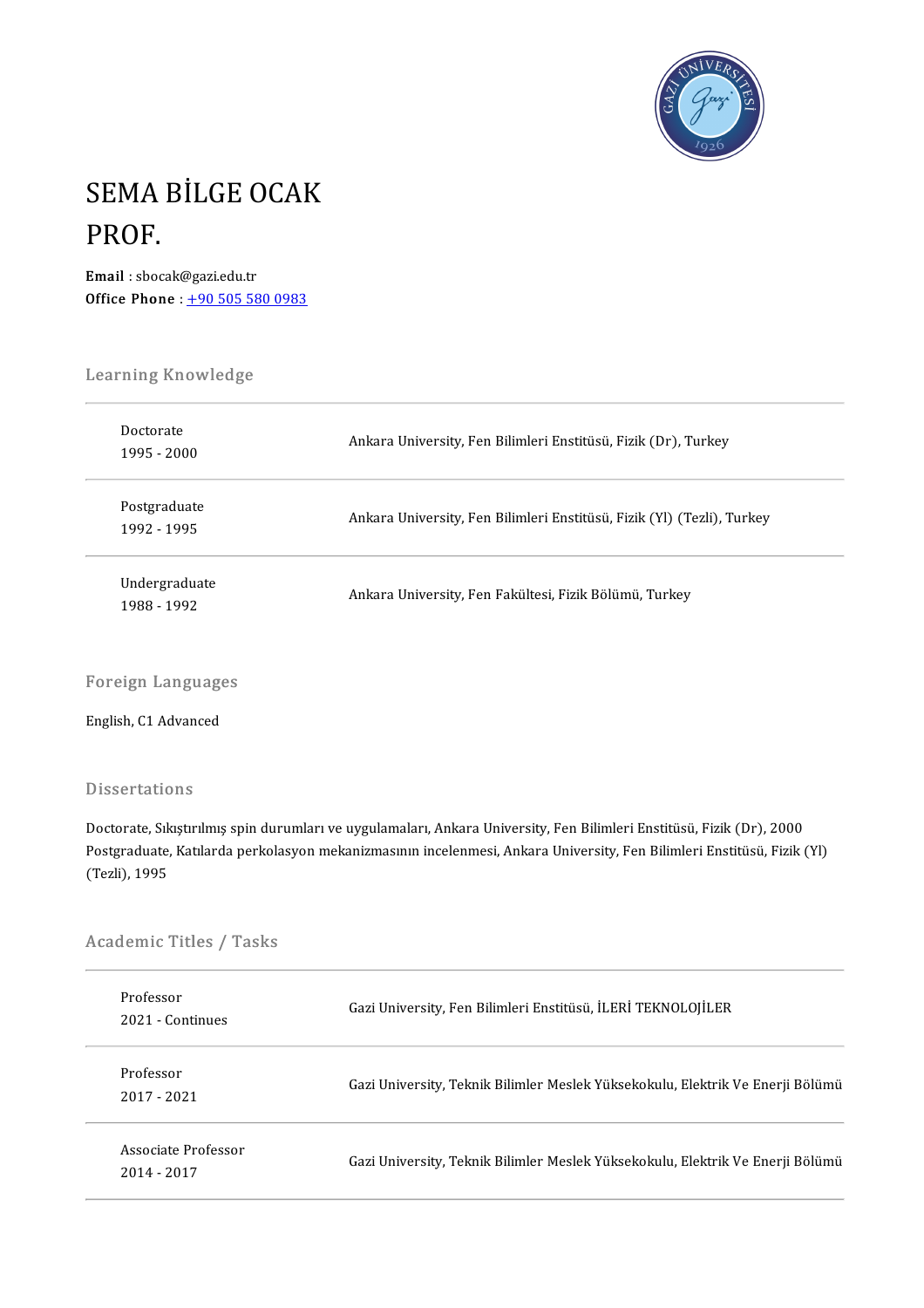

# SEMA BİLGE OCAK<br>PROF **SEMA**<br>PROF. PROF.<br>Email : sbocak@gazi.edu.tr

Office Phone:  $+905055800983$ 

# Learning Knowledge<br>Learning Knowledge

| Doctorate<br>1995 - 2000     | Ankara University, Fen Bilimleri Enstitüsü, Fizik (Dr), Turkey         |
|------------------------------|------------------------------------------------------------------------|
| Postgraduate<br>1992 - 1995  | Ankara University, Fen Bilimleri Enstitüsü, Fizik (Yl) (Tezli), Turkey |
| Undergraduate<br>1988 - 1992 | Ankara University, Fen Fakültesi, Fizik Bölümü, Turkey                 |

# Foreign Language<br>English, C1 Advanced

English, C1 Advanced<br>Dissertations

Dissertations<br>Doctorate, Sıkıştırılmış spin durumları ve uygulamaları, Ankara University, Fen Bilimleri Enstitüsü, Fizik (Dr), 2000<br>Postaraduate Katılarda perkelasyon mekanizmasının inselenmesi, Ankara University, Fen Bili Postgraduate, Katılarda perkolasyon mekanizmasının incelenmesi, Ankara University, Fen Bilimleri Enstitüsü, Fizik (Yl)<br>(Tezli), 1995 Doctorate, Sık<br>Postgraduate,<br>(Tezli), 1995

# (1ezii), 1995<br>Academic Titles / Tasks

| Academic Titles / Tasks            |                                                                                |  |
|------------------------------------|--------------------------------------------------------------------------------|--|
| Professor<br>2021 - Continues      | Gazi University, Fen Bilimleri Enstitüsü, İLERİ TEKNOLOJİLER                   |  |
| Professor<br>2017 - 2021           | Gazi University, Teknik Bilimler Meslek Yüksekokulu, Elektrik Ve Enerji Bölümü |  |
| Associate Professor<br>2014 - 2017 | Gazi University, Teknik Bilimler Meslek Yüksekokulu, Elektrik Ve Enerji Bölümü |  |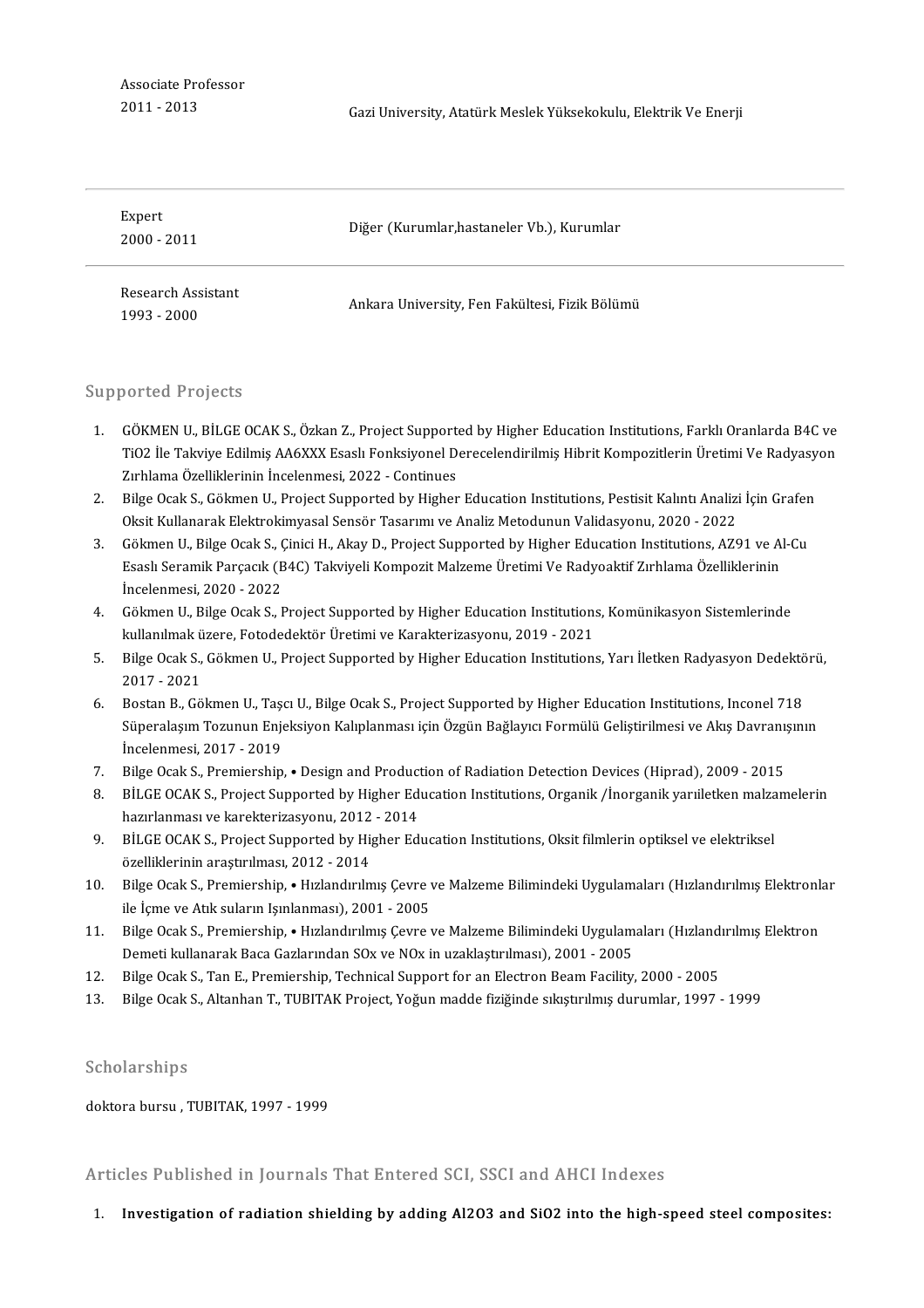Associate Professor<br>2011 - 2013

Gazi University, Atatürk Meslek Yüksekokulu, Elektrik Ve Enerji

| Expert<br>$2000 - 2011$           | Diğer (Kurumlar, hastaneler Vb.), Kurumlar     |
|-----------------------------------|------------------------------------------------|
| Research Assistant<br>1993 - 2000 | Ankara University, Fen Fakültesi, Fizik Bölümü |

#### Supported Projects

- upported Projects<br>1. GÖKMENU., BİLGE OCAK S., Özkan Z., Project Supported by Higher Education Institutions, Farklı Oranlarda B4Cve<br>TiQ2 İla Talujus Edilmiş AASYYY Essek Fanksiyanal Darssalandirilmiş Hibrit Kampazitlerin Ür SST ESATT FOJSSES<br>GÖKMEN U., BİLGE OCAK S., Özkan Z., Project Supported by Higher Education Institutions, Farklı Oranlarda B4C ve<br>TiO2 İle Takviye Edilmiş AA6XXX Esaslı Fonksiyonel Derecelendirilmiş Hibrit Kompozitlerin Ür GÖKMEN U., BİLGE OCAK S., Özkan Z., Project Support<br>TiO2 İle Takviye Edilmiş AA6XXX Esaslı Fonksiyonel D<br>Zırhlama Özelliklerinin İncelenmesi, 2022 - Continues<br>Bilge Osel: S. Gölmen II. Preject Supported bu Hisber 2. Bilge Ocak S., Gökmen U., Project Supported by Higher Education Institutions, Pestisit Kalıntı Analizi İçin<br>2. Bilge Ocak S., Gökmen U., Project Supported by Higher Education Institutions, Pestisit Kalıntı Analizi İçin
- Zırhlama Özelliklerinin İncelenmesi, 2022 Continues<br>Bilge Ocak S., Gökmen U., Project Supported by Higher Education Institutions, Pestisit Kalıntı Analizi<br>Oksit Kullanarak Elektrokimyasal Sensör Tasarımı ve Analiz Metodu 3. Bilge Ocak S., Gökmen U., Project Supported by Higher Education Institutions, Pestisit Kalıntı Analizi İçin Grafen<br>Oksit Kullanarak Elektrokimyasal Sensör Tasarımı ve Analiz Metodunun Validasyonu, 2020 - 2022<br>3. Gökmen
- Oksit Kullanarak Elektrokimyasal Sensör Tasarımı ve Analiz Metodunun Validasyonu, 2020 2022<br>Gökmen U., Bilge Ocak S., Çinici H., Akay D., Project Supported by Higher Education Institutions, AZ91 ve Al<br>Esaslı Seramik Parç Gökmen U., Bilge Ocak S., 9<br>Esaslı Seramik Parçacık (B<br>İncelenmesi, 2020 - 2022<br>Gölmen II. Bilge Osak S. I
- 4. GökmenU.,BilgeOcakS.,ProjectSupportedbyHigherEducationInstitutions,KomünikasyonSistemlerinde İncelenmesi, 2020 - 2022<br>Gökmen U., Bilge Ocak S., Project Supported by Higher Education Institution:<br>kullanılmak üzere, Fotodedektör Üretimi ve Karakterizasyonu, 2019 - 2021<br>Bilge Ocak S. Gölmen II. Project Supported by H
- 5. Bilge Ocak S., Gökmen U., Project Supported by Higher Education Institutions, Yarı İletken Radyasyon Dedektörü,<br>2017 2021 kullanılmak ü<br>Bilge Ocak S.,<br>2017 - 2021<br>Bostan B. Gö 5. Bilge Ocak S., Gökmen U., Project Supported by Higher Education Institutions, Yarı İletken Radyasyon Dedektö<br>2017 - 2021<br>6. Bostan B., Gökmen U., Taşcı U., Bilge Ocak S., Project Supported by Higher Education Institutio
- 2017 2021<br>Bostan B., Gökmen U., Taşcı U., Bilge Ocak S., Project Supported by Higher Education Institutions, Inconel 718<br>Süperalaşım Tozunun Enjeksiyon Kalıplanması için Özgün Bağlayıcı Formülü Geliştirilmesi ve Akış Dav Bostan B., Gökmen U., Taşı<br>Süperalaşım Tozunun Enje<br>İncelenmesi, 2017 - 2019<br>Bilge Osak S., Premierskin 5üperalaşım Tozunun Enjeksiyon Kalıplanması için Özgün Bağlayıcı Formülü Geliştirilmesi ve Akış Davranı;<br>1. Bilge Ocak S., Premiership, • Design and Production of Radiation Detection Devices (Hiprad), 2009 - 2015<br>1. Bilge
- 
- 8. Incelenmesi, 2017 2019<br>8. Bilge Ocak S., Premiership, Design and Production of Radiation Detection Devices (Hiprad), 2009 2015<br>8. BİLGE OCAK S., Project Supported by Higher Education Institutions, Organik /İnorgan Bilge Ocak S., Premiership, • Design and Product<br>BİLGE OCAK S., Project Supported by Higher Ed<br>hazırlanması ve karekterizasyonu, 2012 - 2014<br>BİLGE OCAK S. Project Supported by Higher Ed 8. BİLGE OCAK S., Project Supported by Higher Education Institutions, Organik /İnorganik yarıiletken malza<br>hazırlanması ve karekterizasyonu, 2012 - 2014<br>9. BİLGE OCAK S., Project Supported by Higher Education Institutions,
- hazırlanması ve karekterizasyonu, 2012<br>BİLGE OCAK S., Project Supported by Hi<sub>l</sub><br>özelliklerinin araştırılması, 2012 2014<br><sup>Bilge Ocak S., Promiershin a Higlandurlm</sup> 10. BİLGE OCAK S., Project Supported by Higher Education Institutions, Oksit filmlerin optiksel ve elektriksel<br>10. Bilge Ocak S., Premiership, • Hızlandırılmış Çevre ve Malzeme Bilimindeki Uygulamaları (Hızlandırılmış Elek
- özelliklerinin araştırılması, 2012 2014<br>Bilge Ocak S., Premiership, Hızlandırılmış Çevre<br>ile İçme ve Atık suların Işınlanması), 2001 2005 10. Bilge Ocak S., Premiership, • Hızlandırılmış Çevre ve Malzeme Bilimindeki Uygulamaları (Hızlandırılmış Elektronli<br>ile İçme ve Atık suların Işınlanması), 2001 - 2005<br>11. Bilge Ocak S., Premiership, • Hızlandırılmış Çevr
- Bilge Ocak S., Premiership, Hızlandırılmış Çevre ve Malzeme Bilimindeki Uygulamaları (Hızlandırılmış Elektron<br>Demeti kullanarak Baca Gazlarından SOx ve NOx in uzaklaştırılması), 2001 2005 11. Bilge Ocak S., Premiership, • Hızlandırılmış Çevre ve Malzeme Bilimindeki Uygulamaları (Hızland:<br>Demeti kullanarak Baca Gazlarından SOx ve NOx in uzaklaştırılması), 2001 - 2005<br>12. Bilge Ocak S., Tan E., Premiership, T 13. Bilge Ocak S., Tan E., Premiership, Technical Support for an Electron Beam Facility, 2000 - 2005<br>13. Bilge Ocak S., Altanhan T., TUBITAK Project, Yoğun madde fiziğinde sıkıştırılmış durumlar, 1997 - 1999<br>13. Bilge Ocak
- 
- 13. Bilge Ocak S., Altanhan T., TUBITAK Project, Yoğun madde fiziğinde sıkıştırılmış durumlar, 1997 1999<br>Scholarships

doktora bursu, TUBITAK, 1997 - 1999

Articles Published in Journals That Entered SCI, SSCI and AHCI Indexes

1. Investigation of radiation shielding by adding Al2O3 and SiO2 into the high-speed steel composites: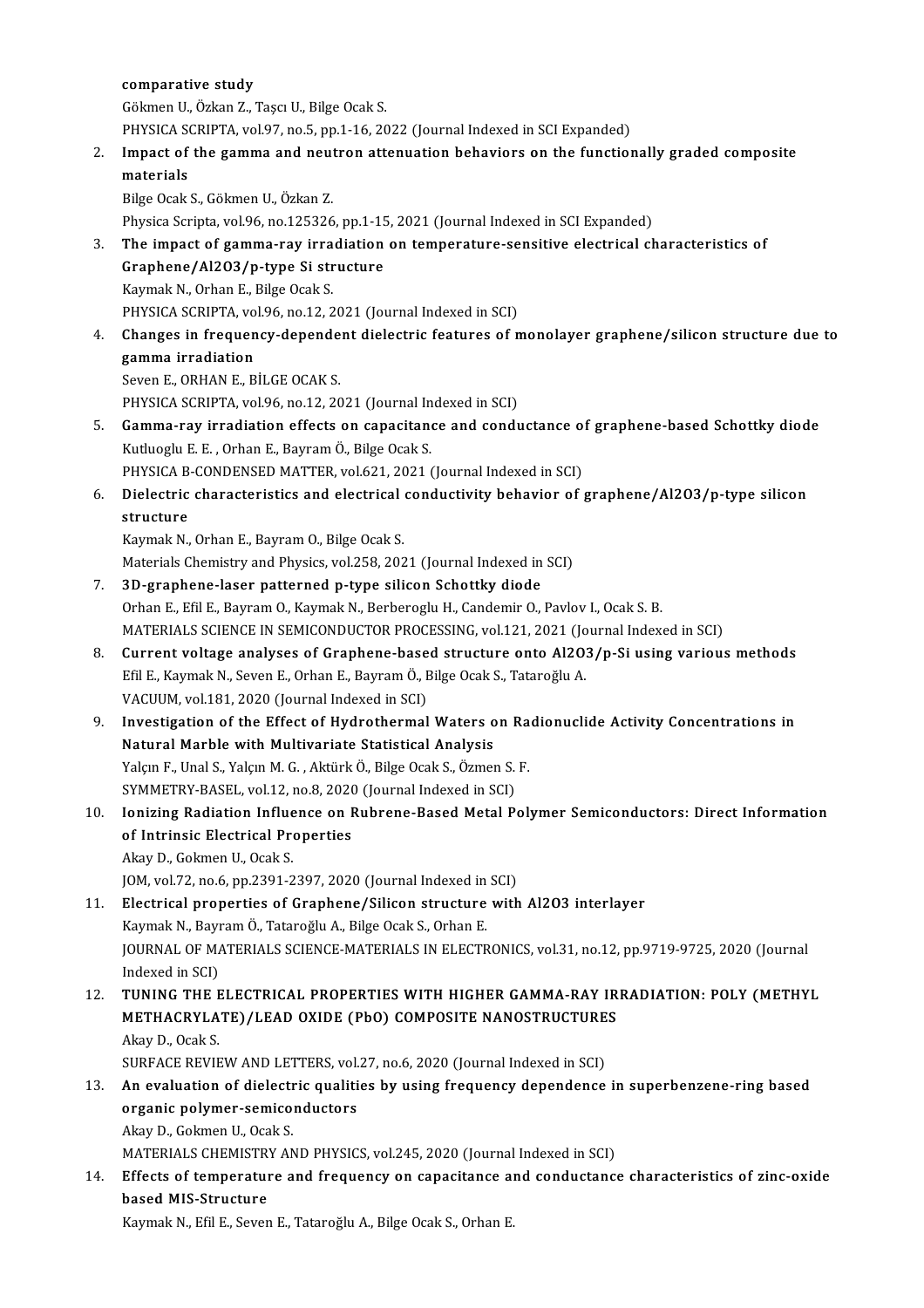comparative study

Gökmen U., Özkan Z., Taşcı U., Bilge Ocak S.

PHYSICA SCRIPTA, vol.97, no.5, pp.1-16, 2022 (Journal Indexed in SCI Expanded)

## Gökmen U., Özkan Z., Taşcı U., Bilge Ocak S.<br>PHYSICA SCRIPTA, vol.97, no.5, pp.1-16, 2022 (Journal Indexed in SCI Expanded)<br>2. Impact of the gamma and neutron attenuation behaviors on the functionally graded composite<br>mate PHYSICA SON<br>Impact of<br>materials<br>Pilgo Ocak Impact of the gamma and neut<br>materials<br>Bilge Ocak S., Gökmen U., Özkan Z.<br>Physica Serinta vel 96. no 125226 <mark>materials</mark><br>Bilge Ocak S., Gökmen U., Özkan Z.<br>Physica Scripta, vol.96, no.125326, pp.1-15, 2021 (Journal Indexed in SCI Expanded)<br>The impact of samma nav irradiation on temperature consitive electrical ch

Bilge Ocak S., Gökmen U., Özkan Z.<br>Physica Scripta, vol.96, no.125326, pp.1-15, 2021 (Journal Indexed in SCI Expanded)<br>3. The impact of gamma-ray irradiation on temperature-sensitive electrical characteristics of<br>Graphana Physica Scripta, vol.96, no.125326, pp.1-15<br>The impact of gamma-ray irradiation<br>Graphene/Al2O3/p-type Si structure<br>Kaymak N. Orban E. Bilge Osak S. The impact of gamma-ray irra<br>Graphene/Al2O3/p-type Si str<br>Kaymak N., Orhan E., Bilge Ocak S.<br>PHYSICA SCRIPTA .val 06, po 12-2 Graphene/Al2O3/p-type Si structure<br>Kaymak N., Orhan E., Bilge Ocak S.<br>PHYSICA SCRIPTA, vol.96, no.12, 2021 (Journal Indexed in SCI)<br>Changes in frequency dependent dialectric fectures of n

Kaymak N., Orhan E., Bilge Ocak S.<br>PHYSICA SCRIPTA, vol.96, no.12, 2021 (Journal Indexed in SCI)<br>4. Changes in frequency-dependent dielectric features of monolayer graphene/silicon structure due to<br>gamma irradiation PHYSICA SCRIPTA, vo<br>Changes in frequen<br>gamma irradiation<br>Savan E. OPHAN E. P gamma irradiation<br>Seven E., ORHAN E., BİLGE OCAK S.<br>PHYSICA SCRIPTA, vol.96, no.12, 2021 (Journal Indexed in SCI)<br>Camma, nav. irradiation effects en sanasitanse and sandy

Seven E., ORHAN E., BİLGE OCAK S.

- Seven E., ORHAN E., BİLGE OCAK S.<br>PHYSICA SCRIPTA, vol.96, no.12, 2021 (Journal Indexed in SCI)<br>5. Gamma-ray irradiation effects on capacitance and conductance of graphene-based Schottky diode<br>Kuthoghy E.E., Orban E. Bayra PHYSICA SCRIPTA, vol.96, no.12, 2021 (Journal In<br>Gamma-ray irradiation effects on capacitan<br>Kutluoglu E. E. , Orhan E., Bayram Ö., Bilge Ocak S.<br>PHYSICA B.CONDENSED MATTER, vol.621, 2021.1 Gamma-ray irradiation effects on capacitance and conductance of<br>Kutluoglu E. E. , Orhan E., Bayram Ö., Bilge Ocak S.<br>PHYSICA B-CONDENSED MATTER, vol.621, 2021 (Journal Indexed in SCI)<br>Dielectric share stariatios and electr Kutluoglu E. E. , Orhan E., Bayram Ö., Bilge Ocak S.<br>PHYSICA B-CONDENSED MATTER, vol.621, 2021 (Journal Indexed in SCI)<br>6. Dielectric characteristics and electrical conductivity behavior of graphene/Al2O3/p-type silicon
- PHYSICA B<br>Dielectric<br>structure<br>Kaumak N Dielectric characteristics and electrical<br>structure<br>Kaymak N., Orhan E., Bayram O., Bilge Ocak S.<br>Materials Chamistry and Physics vol 258-202

structure<br>Kaymak N., Orhan E., Bayram O., Bilge Ocak S.<br>Materials Chemistry and Physics, vol.258, 2021 (Journal Indexed in SCI)

- 7. 3D-graphene-laser patterned p-type silicon Schottky diode Orhan E., Efil E., Bayram O., Kaymak N., Berberoglu H., Candemir O., Pavlov I., Ocak S. B. MATERIALS SCIENCE IN SEMICONDUCTOR PROCESSING, vol.121, 2021 (Journal Indexed in SCI)
- 8. Current voltage analyses of Graphene-based structure onto Al2O3/p-Si using various methods MATERIALS SCIENCE IN SEMICONDUCTOR PROCESSING, vol.121, 2021 (Jo<br>Current voltage analyses of Graphene-based structure onto Al2O:<br>Efil E., Kaymak N., Seven E., Orhan E., Bayram Ö., Bilge Ocak S., Tataroğlu A.<br>VACUUM vol.181 Current voltage analyses of Graphene-base<br>Efil E., Kaymak N., Seven E., Orhan E., Bayram Ö., I<br>VACUUM, vol.181, 2020 (Journal Indexed in SCI)<br>Investigation of the Effect of Hydnathermal Efil E., Kaymak N., Seven E., Orhan E., Bayram Ö., Bilge Ocak S., Tataroğlu A.<br>19. VACUUM, vol.181, 2020 (Journal Indexed in SCI)<br>9. Investigation of the Effect of Hydrothermal Waters on Radionuclide Activity Concentration
- VACUUM, vol.181, 2020 (Journal Indexed in SCI)<br>Investigation of the Effect of Hydrothermal Waters of<br>Natural Marble with Multivariate Statistical Analysis<br>Valan E. Unal S. Valan M.C., Altürk Ö. Bilge Osak S. Özmer Investigation of the Effect of Hydrothermal Waters on Ra<br>Natural Marble with Multivariate Statistical Analysis<br>Yalçın F., Unal S., Yalçın M. G. , Aktürk Ö., Bilge Ocak S., Özmen S. F.<br>SYMMETPV BASEL, vol 12, no 8, 2020 (Jo Natural Marble with Multivariate Statistical Analysis<br>Yalçın F., Unal S., Yalçın M. G. , Aktürk Ö., Bilge Ocak S., Özmen S.<br>SYMMETRY-BASEL, vol.12, no.8, 2020 (Journal Indexed in SCI)<br>Jonizing Bodistion Influence on Bubron Yalçın F., Unal S., Yalçın M. G. , Aktürk Ö., Bilge Ocak S., Özmen S. F.<br>SYMMETRY-BASEL, vol.12, no.8, 2020 (Journal Indexed in SCI)<br>10. Ionizing Radiation Influence on Rubrene-Based Metal Polymer Semiconductors: Direct
- SYMMETRY-BASEL, vol.12, no.8, 2020<br>Ionizing Radiation Influence on F<br>of Intrinsic Electrical Properties **Ionizing Radiation Influe**<br>of Intrinsic Electrical Pre<br>Akay D., Gokmen U., Ocak S.<br>JOM vol 72 no 6 nn 2201 2 of Intrinsic Electrical Properties<br>Akay D., Gokmen U., Ocak S.<br>JOM, vol.72, no.6, pp.2391-2397, 2020 (Journal Indexed in SCI)

11. Electrical properties of Graphene/Silicon structure with Al2O3 interlayer JOM, vol.72, no.6, pp.2391-2397, 2020 (Journal Indexed in<br><mark>Electrical properties of Graphene/Silicon structure</mark><br>Kaymak N., Bayram Ö., Tataroğlu A., Bilge Ocak S., Orhan E.<br>JOUPNAL OF MATERIALS SCIENCE MATERIALS IN ELECTR JOURNAL OF MATERIALS SCIENCE-MATERIALS IN ELECTRONICS, vol.31, no.12, pp.9719-9725, 2020 (Journal Indexed in SCI) Kaymak N., Bayr<br>JOURNAL OF M*I*<br>Indexed in SCI)<br>TUNIN*C* TUE E 12. JOURNAL OF MATERIALS SCIENCE-MATERIALS IN ELECTRONICS, vol.31, no.12, pp.9719-9725, 2020 (Journal<br>12. TUNING THE ELECTRICAL PROPERTIES WITH HIGHER GAMMA-RAY IRRADIATION: POLY (METHYL<br>12. METHACRYLATE) (LEAD OVIDE CREO)

## Indexed in SCI)<br>TUNING THE ELECTRICAL PROPERTIES WITH HIGHER GAMMA-RAY IR<br>METHACRYLATE)/LEAD OXIDE (PbO) COMPOSITE NANOSTRUCTURES<br>Akay D. Osak S **TUNING THE F<br>METHACRYLA<br>Akay D., Ocak S.<br>SUPEACE DEVIE** METHACRYLATE)/LEAD OXIDE (PbO) COMPOSITE NANOSTRUCTURES<br>Akay D., Ocak S. Akay D., Ocak S.<br>13. An evaluation of dielectric qualities by using frequency dependence in superbenzene-ring based<br>13. An evaluation of dielectric qualities by using frequency dependence in superbenzene-ring based<br>2013. A

## SURFACE REVIEW AND LETTERS, vol.27, no.6, 2020 (Journal Indexed in SCI)<br>An evaluation of dielectric qualities by using frequency dependence<br>organic polymer-semiconductors<br>Akay D., Gokmen U., Ocak S. **An evaluation of dielectr<br>organic polymer-semico**:<br>Akay D., Gokmen U., Ocak S.<br>MATEDIALS CHEMISTRY AN organic polymer-semiconductors<br>Akay D., Gokmen U., Ocak S.<br>MATERIALS CHEMISTRY AND PHYSICS, vol.245, 2020 (Journal Indexed in SCI)<br>Effects of temperature and frequency on conscitance and senductors:

## 14. Effects of temperature and frequency on capacitance and conductance characteristics of zinc-oxide MATERIALS CHEMISTR<br>Effects of temperature<br>based MIS-Structure<br>Kaymak N. Efil E. Sayan

Kaymak N., Efil E., Seven E., Tataroğlu A., Bilge Ocak S., Orhan E.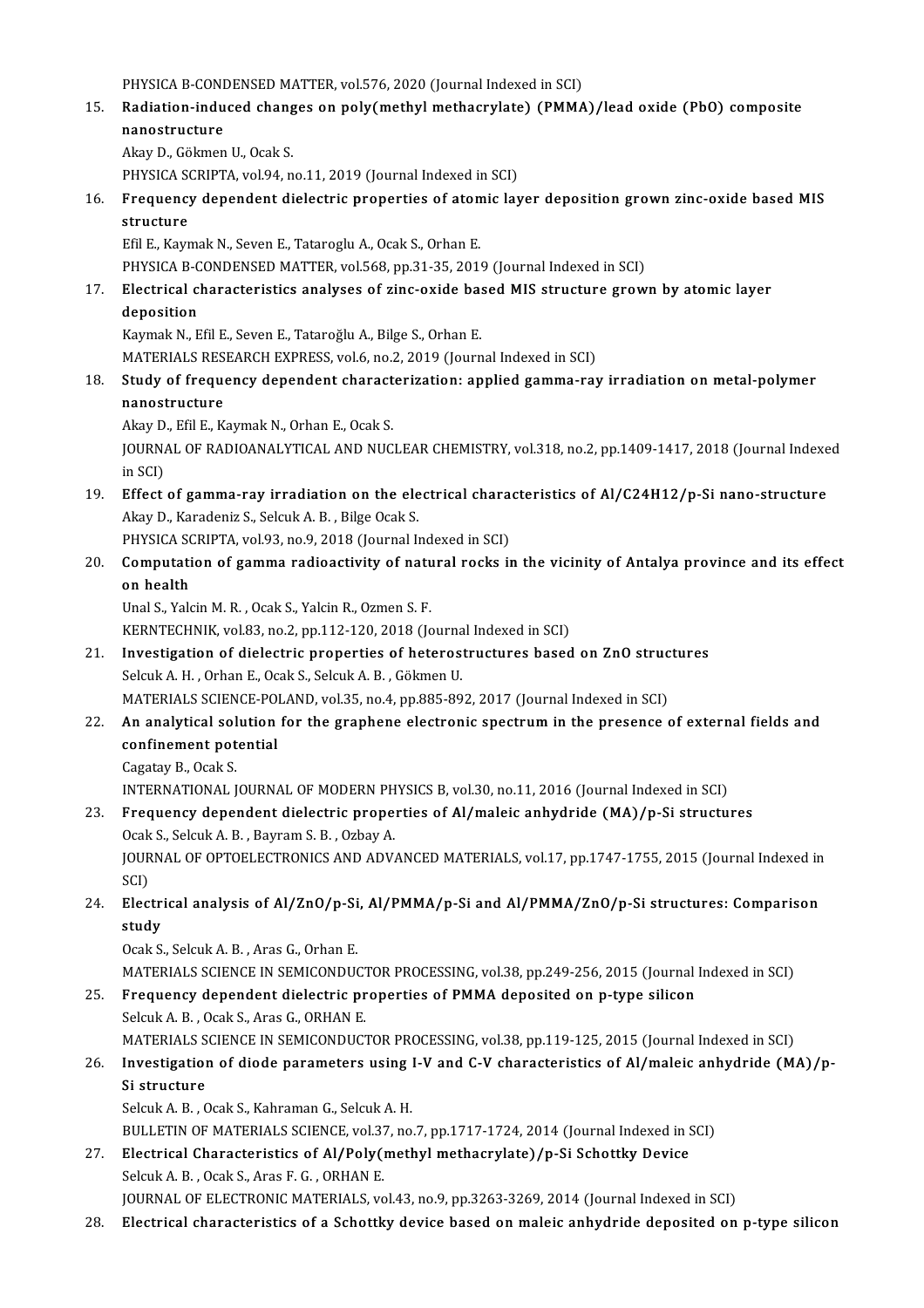PHYSICA B-CONDENSED MATTER, vol.576, 2020 (Journal Indexed in SCI)

- PHYSICA B-CONDENSED MATTER, vol.576, 2020 (Journal Indexed in SCI)<br>15. Radiation-induced changes on poly(methyl methacrylate) (PMMA)/lead oxide (PbO) composite PHYSICA B-CONI<br>Radiation-indu<br>nanostructure<br>Alman D-Cëlman Radiation-induced chang<br>nanostructure<br>Akay D., Gökmen U., Ocak S.<br>PHYSICA SCRIPTA .val 94. p nanostructure<br>Akay D., Gökmen U., Ocak S.<br>PHYSICA SCRIPTA, vol.94, no.11, 2019 (Journal Indexed in SCI)<br>Frequency dependent dielectric preperties of atomic lay
	-

Akay D., Gökmen U., Ocak S.<br>16. Frequency dependent dielectric properties of atomic layer deposition grown zinc-oxide based MIS<br>16. Frequency dependent dielectric properties of atomic layer deposition grown zinc-oxide base PHYSICA SO<br>Frequency<br>structure<br>F<sup>61 E</sup> Kavr Frequency dependent dielectric properties of atom<br>structure<br>Efil E., Kaymak N., Seven E., Tataroglu A., Ocak S., Orhan E.<br>puvsica P. CONDENSED MATTER, vol 569, pp.21, 25, 2011

structure<br>Efil E., Kaymak N., Seven E., Tataroglu A., Ocak S., Orhan E.<br>PHYSICA B-CONDENSED MATTER, vol.568, pp.31-35, 2019 (Journal Indexed in SCI)

## 17. Efil E., Kaymak N., Seven E., Tataroglu A., Ocak S., Orhan E.<br>PHYSICA B-CONDENSED MATTER, vol.568, pp.31-35, 2019 (Journal Indexed in SCI)<br>17. Electrical characteristics analyses of zinc-oxide based MIS structure grown PHYSICA B-C<br>Electrical c<br>deposition<br>Kaymak N-E Electrical characteristics analyses of zinc-oxide ba:<br>deposition<br>Kaymak N., Efil E., Seven E., Tataroğlu A., Bilge S., Orhan E.<br>MATERIALS RESEARCH EXPRESS .val.6, no.2, 2019 (Journ

**deposition**<br>Kaymak N., Efil E., Seven E., Tataroğlu A., Bilge S., Orhan E.<br>MATERIALS RESEARCH EXPRESS, vol.6, no.2, 2019 (Journal Indexed in SCI)

Kaymak N., Efil E., Seven E., Tataroğlu A., Bilge S., Orhan E.<br>MATERIALS RESEARCH EXPRESS, vol.6, no.2, 2019 (Journal Indexed in SCI)<br>18. Study of frequency dependent characterization: applied gamma-ray irradiation on meta MATERIALS RES<br>Study of freque<br>nanostructure<br>Almy D. E<sup>ci E.</sup> K Study of frequency dependent charact<br>nanostructure<br>Akay D., Efil E., Kaymak N., Orhan E., Ocak S.<br>JOUPNAL OF RADJOANALYTICAL AND NUC

Akay D, Efil E, Kaymak N, Orhan E, Ocak S.

nanostructure<br>Akay D., Efil E., Kaymak N., Orhan E., Ocak S.<br>JOURNAL OF RADIOANALYTICAL AND NUCLEAR CHEMISTRY, vol.318, no.2, pp.1409-1417, 2018 (Journal Indexed<br>in SCI) 19. JOURNAL OF RADIOANALYTICAL AND NUCLEAR CHEMISTRY, vol.318, no.2, pp.1409-1417, 2018 (Journal Indexe<br>in SCI)<br>19. Effect of gamma-ray irradiation on the electrical characteristics of Al/C24H12/p-Si nano-structure<br>Alray D

in SCI)<br><mark>Effect of gamma-ray irradiation on the ele</mark><br>Akay D., Karadeniz S., Selcuk A. B. , Bilge Ocak S.<br>PHYSICA SCRIPTA, VR193, P.0, 2018 (Jaumal L Effect of gamma-ray irradiation on the electrical charaen<br>Akay D., Karadeniz S., Selcuk A. B. , Bilge Ocak S.<br>PHYSICA SCRIPTA, vol.93, no.9, 2018 (Journal Indexed in SCI)<br>Computation of gamma radioactivity of natural racks

PHYSICA SCRIPTA, vol.93, no.9, 2018 (Journal Indexed in SCI)

20. Akay D., Karadeniz S., Selcuk A. B. , Bilge Ocak S.<br>PHYSICA SCRIPTA, vol.93, no.9, 2018 (Journal Indexed in SCI)<br>20. Computation of gamma radioactivity of natural rocks in the vicinity of Antalya province and its effec

Unal S., Yalcin M. R., Ocak S., Yalcin R., Ozmen S. F.

KERNTECHNIK, vol.83, no.2, pp.112-120, 2018 (Journal Indexed in SCI)

Unal S., Yalcin M. R. , Ocak S., Yalcin R., Ozmen S. F.<br>KERNTECHNIK, vol.83, no.2, pp.112-120, 2018 (Journal Indexed in SCI)<br>21. Investigation of dielectric properties of heterostructures based on ZnO structures<br>Seleuk A. KERNTECHNIK, vol.83, no.2, pp.112-120, 2018 (Journa<br>Investigation of dielectric properties of heteros<br>Selcuk A. H. , Orhan E., Ocak S., Selcuk A. B. , Gökmen U.<br>MATERIALS SCIENCE POLAND, vol.25, no.4, np.895, 90 Investigation of dielectric properties of heterostructures based on ZnO struc<br>Selcuk A. H. , Orhan E., Ocak S., Selcuk A. B. , Gökmen U.<br>MATERIALS SCIENCE-POLAND, vol.35, no.4, pp.885-892, 2017 (Journal Indexed in SCI)<br>An 22. Selcuk A. H., Orhan E., Ocak S., Selcuk A. B., Gökmen U.<br>MATERIALS SCIENCE-POLAND, vol.35, no.4, pp.885-892, 2017 (Journal Indexed in SCI)<br>22. An analytical solution for the graphene electronic spectrum in the presence

## MATERIALS SCIENCE-PO<br>An analytical solution<br>confinement potential<br>Cosstav B. Qsal: S **An analytical sol<br>confinement pot<br>Cagatay B., Ocak S.<br>INTERNATIONAL I** confinement potential<br>Cagatay B., Ocak S.<br>INTERNATIONAL JOURNAL OF MODERN PHYSICS B, vol.30, no.11, 2016 (Journal Indexed in SCI)<br>Enequency dependent dialectric properties of Al/malais aphydride (MA) /p Si structu:

## Cagatay B., Ocak S.<br>INTERNATIONAL JOURNAL OF MODERN PHYSICS B, vol.30, no.11, 2016 (Journal Indexed in SCI)<br>23. Frequency dependent dielectric properties of Al/maleic anhydride (MA)/p-Si structures<br>0cak S., Selcuk A. B., B INTERNATIONAL JOURNAL OF MODERN PH<br>Frequency dependent dielectric prope:<br>Ocak S., Selcuk A. B. , Bayram S. B. , Ozbay A.<br>JOURNAL OF OPTOFL ECTRONICS AND ADV.

Frequency dependent dielectric properties of Al/maleic anhydride (MA)/p-Si structures<br>Ocak S., Selcuk A. B. , Bayram S. B. , Ozbay A.<br>JOURNAL OF OPTOELECTRONICS AND ADVANCED MATERIALS, vol.17, pp.1747-1755, 2015 (Journal I Ocak<br>JOUR<br>SCI)<br>Eleg 300RNAL OF OPTOELECTRONICS AND ADVANCED MATERIALS, vol.17, pp.1747-1755, 2015 (Journal Indexed in SCI)<br>24. Electrical analysis of Al/ZnO/p-Si, Al/PMMA/p-Si and Al/PMMA/ZnO/p-Si structures: Comparison<br>31. Electrical analysi

### SCI)<br><mark>Electr</mark>i<br>study<br>Ocak <sup>e</sup> Electrical analysis of Al/ZnO/p-Si<br>study<br>Ocak S., Selcuk A. B. , Aras G., Orhan E.<br>MATERIALS SCIENCE IN SEMICONDII study<br>Ocak S., Selcuk A. B. , Aras G., Orhan E.<br>MATERIALS SCIENCE IN SEMICONDUCTOR PROCESSING, vol.38, pp.249-256, 2015 (Journal Indexed in SCI)

### Ocak S., Selcuk A. B., Aras G., Orhan E.<br>MATERIALS SCIENCE IN SEMICONDUCTOR PROCESSING, vol.38, pp.249-256, 2015 (Journal<br>25. Frequency dependent dielectric properties of PMMA deposited on p-type silicon<br>Seleuk A. B., Osak MATERIALS SCIENCE IN SEMICONDUCT<br>Frequency dependent dielectric pr<br>Selcuk A. B. , Ocak S., Aras G., ORHAN E.<br>MATERIALS SCIENCE IN SEMICONDUCT Selcuk A. B. , Ocak S., Aras G., ORHAN E.<br>MATERIALS SCIENCE IN SEMICONDUCTOR PROCESSING, vol.38, pp.119-125, 2015 (Journal Indexed in SCI)

## 26. Selcuk A. B. , Ocak S., Aras G., ORHAN E.<br>MATERIALS SCIENCE IN SEMICONDUCTOR PROCESSING, vol.38, pp.119-125, 2015 (Journal Indexed in SCI)<br>26. Investigation of diode parameters using I-V and C-V characteristics of Al/m MATERIALS S<br>Investigation<br>Si structure **Investigation of diode parameters using |<br>Si structure<br>Selcuk A. B. , Ocak S., Kahraman G., Selcuk A. H.<br>BULLETIM OF MATERIALS SCIENCE 110 27, De** Si structure<br>Selcuk A. B. , Ocak S., Kahraman G., Selcuk A. H.<br>BULLETIN OF MATERIALS SCIENCE, vol.37, no.7, pp.1717-1724, 2014 (Journal Indexed in SCI)<br>Electrical Characteristics of Al/Pelv(methyl methogrylate) /p. Si Sebe

Selcuk A. B., Ocak S., Kahraman G., Selcuk A. H.<br>BULLETIN OF MATERIALS SCIENCE, vol.37, no.7, pp.1717-1724, 2014 (Journal Indexed in S<br>27. Electrical Characteristics of Al/Poly(methyl methacrylate)/p-Si Schottky Device BULLETIN OF MATERIALS SCIENCE, vol.37<br>Electrical Characteristics of Al/Poly(1<br>Selcuk A. B. , Ocak S., Aras F. G. , ORHAN E.<br>JOUPNAL OF ELECTRONIC MATERIALS, VO 27. Electrical Characteristics of Al/Poly(methyl methacrylate)/p-Si Schottky Device<br>Selcuk A. B., Ocak S., Aras F. G., ORHAN E.<br>JOURNAL OF ELECTRONIC MATERIALS, vol.43, no.9, pp.3263-3269, 2014 (Journal Indexed in SCI)

28. Electrical characteristics of a Schottky device based on maleic anhydride deposited on p-type silicon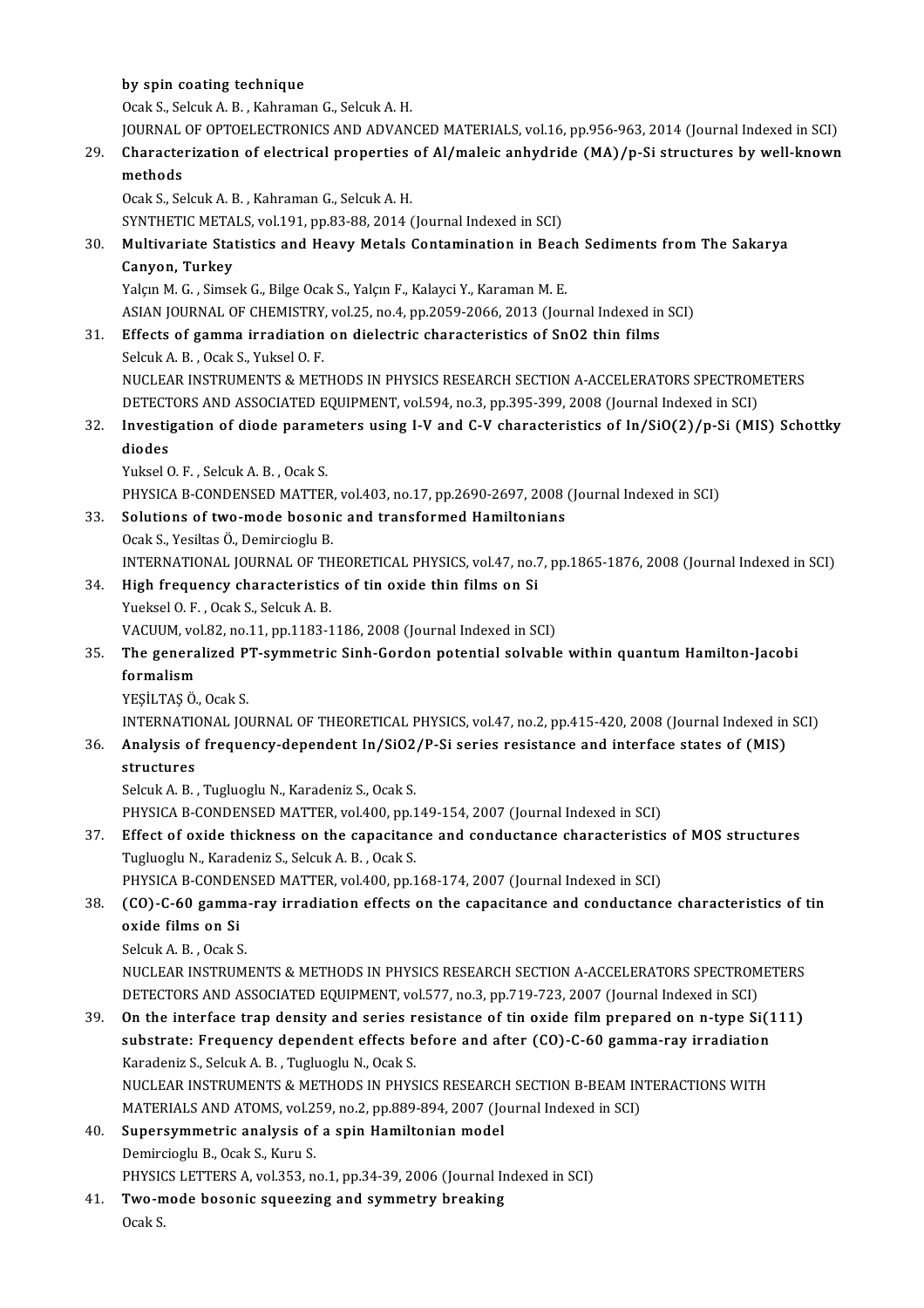#### by spin coating technique

OcakS.,SelcukA.B. ,KahramanG.,SelcukA.H.

JOURNAL OF OPTOELECTRONICS AND ADVANCED MATERIALS, vol.16, pp.956-963, 2014 (Journal Indexed in SCI)

29. Ocak S., Selcuk A. B. , Kahraman G., Selcuk A. H.<br>29. Characterization of electrical properties of Al/maleic anhydride (MA)/p-Si structures by well-known<br>29. Characterization of electrical properties of Al/maleic anhyd JOURNAL<br>Characte<br>methods<br>Ocak S. So Characterization of electrical properties<br>methods<br>Ocak S., Selcuk A. B. , Kahraman G., Selcuk A. H.<br>SYNTHETIC METALS, Vol.191, pp.92, 99, 2014

methods<br>Ocak S., Selcuk A. B. , Kahraman G., Selcuk A. H.<br>SYNTHETIC METALS, vol.191, pp.83-88, 2014 (Journal Indexed in SCI)<br>Multivariate Statistics and Hoowy Matals Contamination in Boo

30. Ocak S., Selcuk A. B. , Kahraman G., Selcuk A. H.<br>30. Multivariate Statistics and Heavy Metals Contamination in Beach Sediments from The Sakarya<br>30. Multivariate Statistics and Heavy Metals Contamination in Beach Sedim SYNTHETIC META<br>Multivariate Stat<br>Canyon, Turkey<br><sup>Volgu</sup> M.C. Simes Multivariate Statistics and Heavy Metals Contamination in Beac<br>Canyon, Turkey<br>Yalçın M. G. , Simsek G., Bilge Ocak S., Yalçın F., Kalayci Y., Karaman M. E.<br>ASIAN JOUPNAL OF CHEMISTRY Vel 25, no 4, nn 2050-2066-2012 (Jou Canyon, Turkey<br>Yalçın M. G. , Simsek G., Bilge Ocak S., Yalçın F., Kalayci Y., Karaman M. E.<br>ASIAN JOURNAL OF CHEMISTRY, vol.25, no.4, pp.2059-2066, 2013 (Journal Indexed in SCI)<br>Effects of gamma invadiation on dialectric

- Yalçın M. G., Simsek G., Bilge Ocak S., Yalçın F., Kalayci Y., Karaman M. E.<br>ASIAN JOURNAL OF CHEMISTRY, vol.25, no.4, pp.2059-2066, 2013 (Journal Indexed in<br>31. Effects of gamma irradiation on dielectric characteristics o ASIAN JOURNAL OF CHEMISTRY<br><mark>Effects of gamma irradiation</mark><br>Selcuk A. B. , Ocak S., Yuksel O. F.<br>NUCLEAR INSTRUMENTS & MET NUCLEAR INSTRUMENTS & METHODS IN PHYSICS RESEARCH SECTION A-ACCELERATORS SPECTROMETERS Selcuk A. B. , Ocak S., Yuksel O. F.<br>NUCLEAR INSTRUMENTS & METHODS IN PHYSICS RESEARCH SECTION A-ACCELERATORS SPECTROM<br>DETECTORS AND ASSOCIATED EQUIPMENT, vol.594, no.3, pp.395-399, 2008 (Journal Indexed in SCI)<br>Investigat
- NUCLEAR INSTRUMENTS & METHODS IN PHYSICS RESEARCH SECTION A-ACCELERATORS SPECTROMETERS<br>DETECTORS AND ASSOCIATED EQUIPMENT, vol.594, no.3, pp.395-399, 2008 (Journal Indexed in SCI)<br>32. Investigation of diode parameters usin DETECT<br>Investig<br>diodes<br><sup>Vulreal C</sup> Investigation of diode parament<br>diodes<br>Yuksel O. F. , Selcuk A. B. , Ocak S.<br>BUVSICA B. CONDENSED MATTEL

diodes<br>Yuksel O. F. , Selcuk A. B. , Ocak S.<br>PHYSICA B-CONDENSED MATTER, vol.403, no.17, pp.2690-2697, 2008 (Journal Indexed in SCI)<br>Selutions of two mode besenis and transformed Hamiltonians. Yuksel O. F. , Selcuk A. B. , Ocak S.<br>PHYSICA B-CONDENSED MATTER, vol.403, no.17, pp.2690-2697, 2008<br>33. Solutions of two-mode bosonic and transformed Hamiltonians<br>Ocak S.. Yesiltas Ö.. Demircioglu B.

- 
- PHYSICA B-CONDENSED MATTER<br>Solutions of two-mode bosoni<br>Ocak S., Yesiltas Ö., Demircioglu B.<br>INTERNATIONAL JOURNAL OF TH INTERNATIONAL JOURNALOFTHEORETICAL PHYSICS,vol.47,no.7,pp.1865-1876,2008(Journal IndexedinSCI) Ocak S., Yesiltas Ö., Demircioglu B.<br>INTERNATIONAL JOURNAL OF THEORETICAL PHYSICS, vol.47, no.7<br>34. High frequency characteristics of tin oxide thin films on Si
- 

INTERNATIONAL JOURNAL OF TH<br>High frequency characteristic<br>Yueksel O. F. , Ocak S., Selcuk A. B.<br>VACUUM vol 82, no 11, nn 1192,1

High frequency characteristics of tin oxide thin films on Si<br>Yueksel O. F. , Ocak S., Selcuk A. B.<br>VACUUM, vol.82, no.11, pp.1183-1186, 2008 (Journal Indexed in SCI)<br>The seneralized PT summatric Sinh Cordon natential solva

## Yueksel O. F. , Ocak S., Selcuk A. B.<br>VACUUM, vol.82, no.11, pp.1183-1186, 2008 (Journal Indexed in SCI)<br>35. The generalized PT-symmetric Sinh-Gordon potential solvable within quantum Hamilton-Jacobi<br>formalism VACUUM, vo<br><mark>The genera</mark><br>formalism<br>v<u>esit TAS Ö</u> The generalized P<br>formalism<br>YEŞİLTAŞ Ö., Ocak S.<br>INTERNATIONAL JOL formalism<br>YEŞİLTAŞ Ö., Ocak S.<br>INTERNATIONAL JOURNAL OF THEORETICAL PHYSICS, vol.47, no.2, pp.415-420, 2008 (Journal Indexed in SCI)<br>Analysis of fraguensy dependent In/SiQ2/P Si series resistance and interface states of (M

## YEŞİLTAŞ Ö., Ocak S.<br>INTERNATIONAL JOURNAL OF THEORETICAL PHYSICS, vol.47, no.2, pp.415-420, 2008 (Journal Indexed in<br>36. Analysis of frequency-dependent In/SiO2/P-Si series resistance and interface states of (MIS) **INTERNATION**<br>**Analysis of**<br>structures 36. Analysis of frequency-dependent In/SiO2/P-Si series resistance and interface states of (MIS) structures<br>Selcuk A. B. , Tugluoglu N., Karadeniz S., Ocak S. structures<br>Selcuk A. B. , Tugluoglu N., Karadeniz S., Ocak S.<br>PHYSICA B-CONDENSED MATTER, vol.400, pp.149-154, 2007 (Journal Indexed in SCI)<br>Effect of ovide thiskness on the sannaitanes and sendustance shanasteristics

Selcuk A. B. , Tugluoglu N., Karadeniz S., Ocak S.<br>PHYSICA B-CONDENSED MATTER, vol.400, pp.149-154, 2007 (Journal Indexed in SCI)<br>37. Effect of oxide thickness on the capacitance and conductance characteristics of MOS stru PHYSICA B-CONDENSED MATTER, vol.400, pp.1<br>Effect of oxide thickness on the capacitan<br>Tugluoglu N., Karadeniz S., Selcuk A. B. , Ocak S.<br>PHYSICA B. CONDENSED MATTER, vol.400, pp.1 Effect of oxide thickness on the capacitance and conductance characteristics<br>Tugluoglu N., Karadeniz S., Selcuk A. B. , Ocak S.<br>PHYSICA B-CONDENSED MATTER, vol.400, pp.168-174, 2007 (Journal Indexed in SCI)<br>(CO) C 60 semma Tugluoglu N., Karadeniz S., Selcuk A. B., Ocak S.<br>PHYSICA B-CONDENSED MATTER, vol.400, pp.168-174, 2007 (Journal Indexed in SCI)<br>38. (CO)-C-60 gamma-ray irradiation effects on the capacitance and conductance characteristic

## PHYSICA B-CONDENSED MATTER, vol.400, pp.168-174, 2007 (Journal Indexed in SCI) (CO)-C-60 gamma-ray irradiation effects on the capacitance and conductand oxide films on Si<br>Selcuk A. B., Ocak S. (CO)-C-60 gamma<br>oxide films on Si<br>Selcuk A.B., Ocak S.<br>NUCLEAR INSTRUM

NUCLEAR INSTRUMENTS & METHODS IN PHYSICS RESEARCH SECTION A-ACCELERATORS SPECTROMETERS DETECTORS AND ASSOCIATED EQUIPMENT, vol.577, no.3, pp.719-723, 2007 (Journal Indexed in SCI) NUCLEAR INSTRUMENTS & METHODS IN PHYSICS RESEARCH SECTION A-ACCELERATORS SPECTROMETERS<br>DETECTORS AND ASSOCIATED EQUIPMENT, vol.577, no.3, pp.719-723, 2007 (Journal Indexed in SCI)<br>39. On the interface trap density and seri

- DETECTORS AND ASSOCIATED EQUIPMENT, vol.577, no.3, pp.719-723, 2007 (Journal Indexed in SCI)<br>On the interface trap density and series resistance of tin oxide film prepared on n-type Si(1<br>substrate: Frequency dependent effe On the interface trap density and series r<br>substrate: Frequency dependent effects b<br>Karadeniz S., Selcuk A. B. , Tugluoglu N., Ocak S.<br>NUCLEAR INSTRUMENTS & METHODS IN RUVS substrate: Frequency dependent effects before and after (CO)-C-60 gamma-ray irradiation<br>Karadeniz S., Selcuk A. B. , Tugluoglu N., Ocak S.<br>NUCLEAR INSTRUMENTS & METHODS IN PHYSICS RESEARCH SECTION B-BEAM INTERACTIONS WITH Karadeniz S., Selcuk A. B. , Tugluoglu N., Ocak S.<br>NUCLEAR INSTRUMENTS & METHODS IN PHYSICS RESEARCH SECTION B-BEAM IN<br>MATERIALS AND ATOMS, vol.259, no.2, pp.889-894, 2007 (Journal Indexed in SCI)<br>Sunongymmetrie analysis o
- 40. Supersymmetric analysis of a spin Hamiltonian model<br>Demircioglu B., Ocak S., Kuru S. MATERIALS AND ATOMS, vol.2!<br>Supersymmetric analysis of<br>Demircioglu B., Ocak S., Kuru S.<br>BHYSICS LETTEDS A. vol.252. B PHYSICS LETTERS A, vol.353, no.1, pp.34-39, 2006 (Journal Indexed in SCI)
- Demircioglu B., Ocak S., Kuru S.<br>PHYSICS LETTERS A, vol.353, no.1, pp.34-39, 2006 (Journal In<br>41. Two-mode bosonic squeezing and symmetry breaking PHYSIC<br>**Two-n**<br>Ocak S.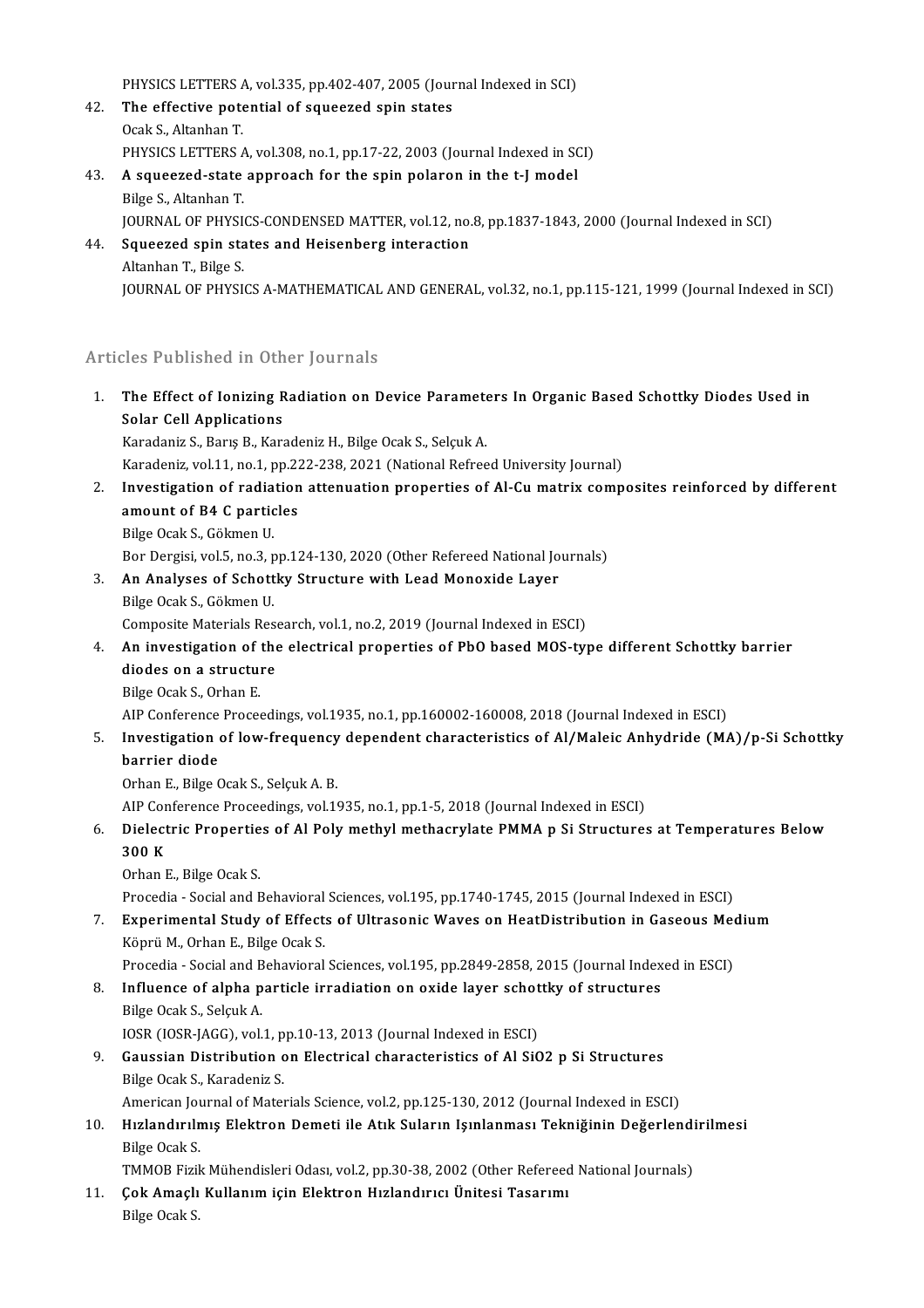PHYSICS LETTERS A, vol.335, pp.402-407, 2005 (Journal Indexed in SCI)<br>The effective petential of squeered anin states

- 42. The effective potential of squeezed spin states<br>Ocak S. Altanhan T. PHYSICS LETTERS A<br>The effective pote<br>Ocak S., Altanhan T.<br>PHYSICS LETTERS PHYSICS LETTERS A, vol.308, no.1, pp.17-22, 2003 (Journal Indexed in SCI) 9 Ocak S., Altanhan T.<br>PHYSICS LETTERS A, vol.308, no.1, pp.17-22, 2003 (Journal Indexed in SC<br>43. A squeezed-state approach for the spin polaron in the t-J model<br>Pilge S. Altanhan T.
- PHYSICS LETTERS A<br>**A squeezed-state**<br>Bilge S., Altanhan T.<br>JOUPNAL OF PHYSI A squeezed-state approach for the spin polaron in the t-J model<br>Bilge S., Altanhan T.<br>JOURNAL OF PHYSICS-CONDENSED MATTER, vol.12, no.8, pp.1837-1843, 2000 (Journal Indexed in SCI)<br>Saueezed spin states and Heisenberg inter Bilge S., Altanhan T.<br>JOURNAL OF PHYSICS-CONDENSED MATTER, vol.12, no<br>44. Squeezed spin states and Heisenberg interaction<br>Altanhan T., Bilge S.
	- **JOURNAL OF PHYSIC**<br>Squeezed spin sta<br>Altanhan T., Bilge S.<br>JOUPNAL OF PHYSIC JOURNAL OF PHYSICS A-MATHEMATICAL AND GENERAL, vol.32, no.1, pp.115-121, 1999 (Journal Indexed in SCI)

#### Articles Published in Other Journals

Inticles Published in Other Journals<br>1. The Effect of Ionizing Radiation on Device Parameters In Organic Based Schottky Diodes Used in<br>Selar Cell Applications The Effect of Ionizing R<br>Solar Cell Applications<br>Kanadanis S. Barre B. Kar Solar Cell Applications<br>Karadaniz S., Barış B., Karadeniz H., Bilge Ocak S., Selçuk A. Solar Cell Applications<br>Karadaniz S., Barış B., Karadeniz H., Bilge Ocak S., Selçuk A.<br>Karadeniz, vol.11, no.1, pp.222-238, 2021 (National Refreed University Journal)<br>Investigation of nadiation attenuation properties of Al Karadaniz S., Barış B., Karadeniz H., Bilge Ocak S., Selçuk A.<br>2. Investigation of radiation attenuation properties of Al-Cu matrix composites reinforced by different<br>2. Investigation of radiation attenuation properties of Karadeniz, vol.11, no.1, pp.22<br>Investigation of radiation<br>amount of B4 C particles<br><sup>Bilgo Ocak S. Gölmon H</sup> Investigation of radia<br>amount of B4 C partic<br>Bilge Ocak S., Gökmen U.<br>Bor Dergisi vol 5, no.3, r amount of B4 C particles<br>Bilge Ocak S., Gökmen U.<br>Bor Dergisi, vol.5, no.3, pp.124-130, 2020 (Other Refereed National Journals) Bilge Ocak S., Gökmen U.<br>Bor Dergisi, vol.5, no.3, pp.124-130, 2020 (Other Refereed National Jo<br>3. An Analyses of Schottky Structure with Lead Monoxide Layer<br>Pilge Ocak S. Gölmen H Bor Dergisi, vol.5, no.3, p<br>**An Analyses of Schott**<br>Bilge Ocak S., Gökmen U.<br>Comnesite Materials Bes Bilge Ocak S., Gökmen U.<br>Composite Materials Research, vol.1, no.2, 2019 (Journal Indexed in ESCI) Bilge Ocak S., Gökmen U.<br>Composite Materials Research, vol.1, no.2, 2019 (Journal Indexed in ESCI)<br>4. An investigation of the electrical properties of PbO based MOS-type different Schottky barrier<br>diades an a structure Composite Materials Rese<br>An investigation of the<br>diodes on a structure<br><sup>Bilgo</sup> Osak S. Orban E An investigation of<br>diodes on a structure<br>Bilge Ocak S., Orhan E.<br>AIB Conforence Brosse diodes on a structure<br>Bilge Ocak S., Orhan E.<br>AIP Conference Proceedings, vol.1935, no.1, pp.160002-160008, 2018 (Journal Indexed in ESCI) Bilge Ocak S., Orhan E.<br>AIP Conference Proceedings, vol.1935, no.1, pp.160002-160008, 2018 (Journal Indexed in ESCI)<br>5. Investigation of low-frequency dependent characteristics of Al/Maleic Anhydride (MA)/p-Si Schottky<br>bon AIP Conference<br>Investigation<br>barrier diode<br>Orban E. Bilge C Investigation of low-frequency<br>barrier diode<br>Orhan E., Bilge Ocak S., Selçuk A. B.<br>AIB Conference Preseedings val 14 barrier diode<br>Orhan E., Bilge Ocak S., Selçuk A. B.<br>AIP Conference Proceedings, vol.1935, no.1, pp.1-5, 2018 (Journal Indexed in ESCI) 6. Orhan E., Bilge Ocak S., Selçuk A. B.<br>AIP Conference Proceedings, vol.1935, no.1, pp.1-5, 2018 (Journal Indexed in ESCI)<br>6. Dielectric Properties of Al Poly methyl methacrylate PMMA p Si Structures at Temperatures Be AIP Cor<br><mark>Dielect</mark><br>300 K<br><sup>Orban I</sup> Dielectric Propertie<br>300 K<br>Orhan E., Bilge Ocak S.<br>Procodia - Social and E 300 K<br>Orhan E., Bilge Ocak S.<br>Procedia - Social and Behavioral Sciences, vol.195, pp.1740-1745, 2015 (Journal Indexed in ESCI) 9. Orhan E., Bilge Ocak S.<br>Procedia - Social and Behavioral Sciences, vol.195, pp.1740-1745, 2015 (Journal Indexed in ESCI)<br>7. Experimental Study of Effects of Ultrasonic Waves on HeatDistribution in Gaseous Medium Köprü M., Orhan E., Bilge Ocak S.<br>Procedia - Social and Behavioral Sciences, vol.195, pp.2849-2858, 2015 (Journal Indexed in ESCI) Experimental Study of Effects of Ultrasonic Waves on HeatDistribution in Gaseous Med<br>Köprü M., Orhan E., Bilge Ocak S.<br>Procedia - Social and Behavioral Sciences, vol.195, pp.2849-2858, 2015 (Journal Indexed in ESCI)<br>Influe Köprü M., Orhan E., Bilge Ocak S.<br>Procedia - Social and Behavioral Sciences, vol.195, pp.2849-2858, 2015 (Journal Index<br>8. Influence of alpha particle irradiation on oxide layer schottky of structures<br>Pilge Ogak S. Solguk Procedia - Social and B<br>**Influence of alpha p**<br>Bilge Ocak S., Selçuk A.<br>JOSP (JOSP JACC), vol. Bilge Ocak S., Selçuk A.<br>IOSR (IOSR-JAGG), vol.1, pp.10-13, 2013 (Journal Indexed in ESCI) Bilge Ocak S., Selçuk A.<br>10SR (10SR-JAGG), vol.1, pp.10-13, 2013 (Journal Indexed in ESCI)<br>9. Gaussian Distribution on Electrical characteristics of Al SiO2 p Si Structures<br>Pilge Ocak S. Karadania S. IOSR (IOSR-JAGG), vol.1, p<br>Gaussian Distribution<br>Bilge Ocak S., Karadeniz S.<br>American Journal of Mateu Gaussian Distribution on Electrical characteristics of Al SiO2 p Si Structures<br>Bilge Ocak S., Karadeniz S.<br>American Journal of Materials Science, vol.2, pp.125-130, 2012 (Journal Indexed in ESCI)<br>Higlandiaulmis Elektron Do Bilge Ocak S., Karadeniz S.<br>American Journal of Materials Science, vol.2, pp.125-130, 2012 (Journal Indexed in ESCI)<br>10. Hızlandırılmış Elektron Demeti ile Atık Suların Işınlanması Tekniğinin Değerlendirilmesi<br>Rilge Osak S American Jo<mark>l</mark><br>H<mark>ızlandırılı</mark><br>Bilge Ocak S.<br>TMMOP Firil Hızlandırılmış Elektron Demeti ile Atık Suların Işınlanması Tekniğinin Değerlendi<br>Bilge Ocak S.<br>TMMOB Fizik Mühendisleri Odası, vol.2, pp.30-38, 2002 (Other Refereed National Journals)<br>Cek Amaelı Kullanım için Elektron Hır Bilge Ocak S.<br>11. YMMOB Fizik Mühendisleri Odası, vol.2, pp.30-38, 2002 (Other Refereed<br>11. Cok Amaçlı Kullanım için Elektron Hızlandırıcı Ünitesi Tasarımı<br>11. Silge Osak S TMMOB Fizil<br><mark>Çok Amaçlı</mark><br>Bilge Ocak S.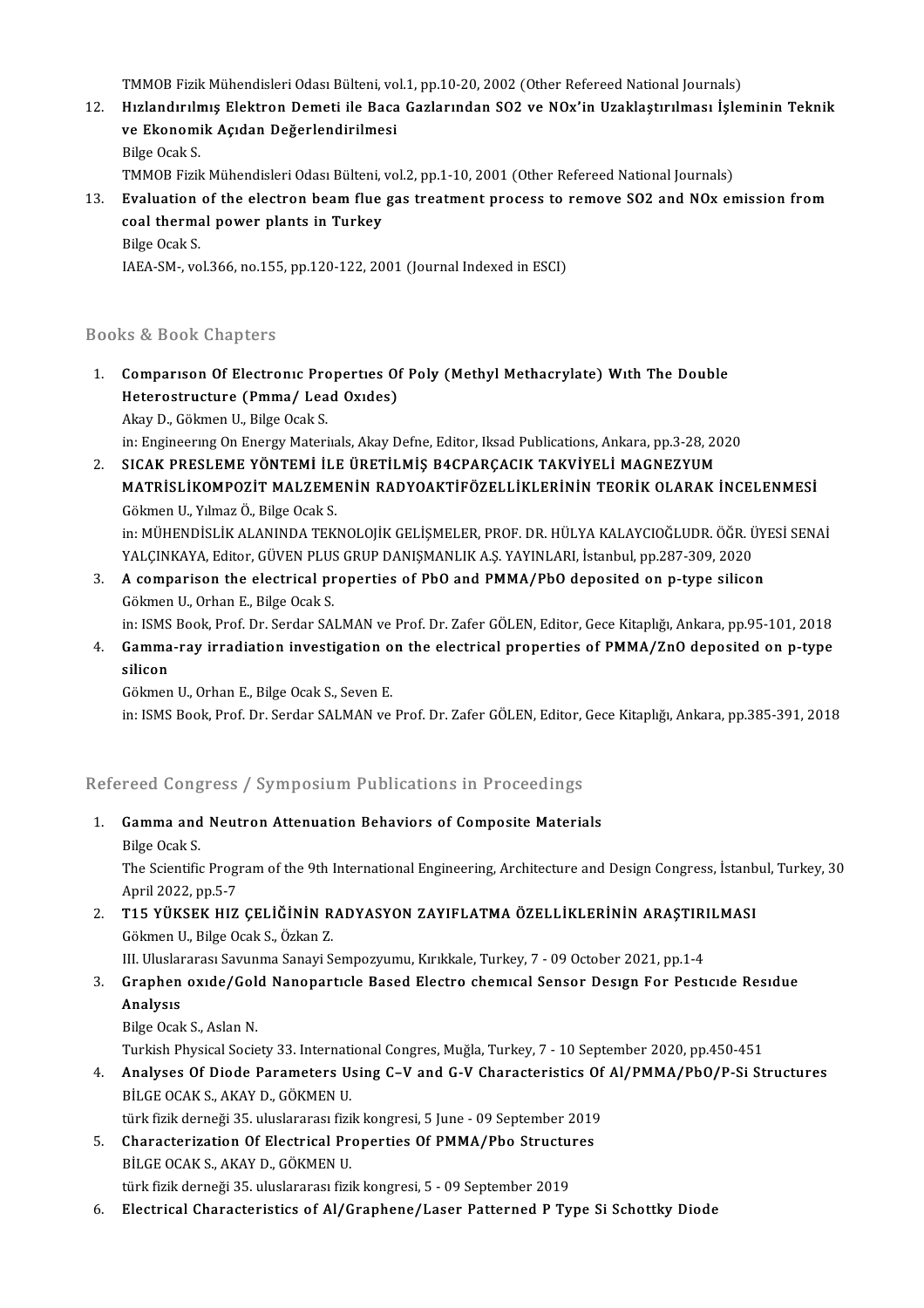TMMOB Fizik Mühendisleri Odası Bülteni, vol.1, pp.10-20, 2002 (Other Refereed National Journals)<br>Higlandırılmış Elektron Domati ile Base Garlanından SO2 ve NOv'in Uraklastınılması İsla

- 12. TMMOB Fizik Mühendisleri Odası Bülteni, vol.1, pp.10-20, 2002 (Other Refereed National Journals)<br>12. Hızlandırılmış Elektron Demeti ile Baca Gazlarından SO2 ve NOx'in Uzaklaştırılması İşleminin Teknik<br>12. Hizlandırılmı TMMOB Fizik Mühendisleri Odası Bülteni, vo<br>Hızlandırılmış Elektron Demeti ile Baca<br>ve Ekonomik Açıdan Değerlendirilmesi<br><sup>Bilgo Osak S</sup> H<mark>izlandırılı</mark><br>ve Ekonomi<br>Bilge Ocak S.<br>TMMOP Eizil ve <mark>Ekonomik Açıdan Değerlendirilmesi</mark><br>Bilge Ocak S.<br>TMMOB Fizik Mühendisleri Odası Bülteni, vol.2, pp.1-10, 2001 (Other Refereed National Journals)<br>Fyaluation of the electron beam flue gas treatment presess to remeye SO2 13. Bilge Ocak S.<br>13. TMMOB Fizik Mühendisleri Odası Bülteni, vol.2, pp.1-10, 2001 (Other Refereed National Journals)<br>13. Evaluation of the electron beam flue gas treatment process to remove SO2 and NOx emission from
- TMMOB Fizik Mühendisleri Odası Bülteni,<br>Evaluation of the electron beam flue<br>coal thermal power plants in Turkey<br><sup>Bilgo</sup> Osak S coal thermal power plants in Turkey<br>Bilge Ocak S. IAEA-SM-,vol.366,no.155,pp.120-122,2001(Journal IndexedinESCI)

#### Books&Book Chapters

looks & Book Chapters<br>1. Comparison Of Electronic Properties Of Poly (Methyl Methacrylate) With The Double<br>Heterostrusture (Prime / Leed Oudee) to & Book unapters<br>Comparison Of Electronic Properties Of<br>Heterostructure (Pmma/ Lead Oxides) Comparison Of Electronic Pro<br>Heterostructure (Pmma/ Lea<br>Akay D., Gökmen U., Bilge Ocak S.<br>in: Engineering On Energy Materi Heterostructure (Pmma/ Lead Oxides)<br>Akay D., Gökmen U., Bilge Ocak S.<br>in: Engineering On Energy Materiials, Akay Defne, Editor, Iksad Publications, Ankara, pp.3-28, 2020<br>SIGAK PRESLEME VÖNTEML U.E ÜRETU MIS PACRARGACIK TAK

- 2. Akay D., Gökmen U., Bilge Ocak S.<br>2. SICAK PRESLEME YÖNTEMİ İLE ÜRETİLMİŞ B4CPARÇACIK TAKVİYELİ MAGNEZYUM<br>2. SICAK PRESLEME YÖNTEMİ İLE ÜRETİLMİŞ B4CPARÇACIK TAKVİYELİ MAGNEZYUM<br>1. MATRISLI İKOMPOZIT MALZEMENIN BADYOAKT MATRİSLİKOMPOZİT MALZEMENİN RADYOAKTİFÖZELLİKLERİNİN TEORİK OLARAK İNCELENMESİ<br>Gökmen U., Yılmaz Ö., Bilge Ocak S. 2. SICAK PRESLEME YÖNTEMİ İLE ÜRETİLMİŞ B4CPARÇACIK TAKVİYELİ MAGNEZYUM MATRİSLİKOMPOZİT MALZEMENİN RADYOAKTİFÖZELLİKLERİNİN TEORİK OLARAK İNCELENMESİ<br>Gökmen U., Yılmaz Ö., Bilge Ocak S.<br>in: MÜHENDİSLİK ALANINDA TEKNOLOJİK GELİŞMELER, PROF. DR. HÜLYA KALAYCIOĞLUDR. ÖĞR. ÜYESİ SENAİ<br>XALCINKAXA, Gökmen U., Yılmaz Ö., Bilge Ocak S.<br>in: MÜHENDİSLİK ALANINDA TEKNOLOJİK GELİŞMELER, PROF. DR. HÜLYA KALAYCIOĞLUDR. ÖĞR. Ü<br>YALÇINKAYA, Editor, GÜVEN PLUS GRUP DANIŞMANLIK A.Ş. YAYINLARI, İstanbul, pp.287-309, 2020<br>A semnari
- in: MÜHENDİSLİK ALANINDA TEKNOLOJİK GELİŞMELER, PROF. DR. HÜLYA KALAYCIOĞLUDR. ÖĞR. ÜY.<br>YALÇINKAYA, Editor, GÜVEN PLUS GRUP DANIŞMANLIK A.Ş. YAYINLARI, İstanbul, pp.287-309, 2020<br>3. A comparison the electrical propertie YALÇINKAYA, Editor, GÜVEN PLUS<br>**A comparison the electrical pr**<br>Gökmen U., Orhan E., Bilge Ocak S. Gökmen U., Orhan E., Bilge Ocak S.<br>in: ISMS Book, Prof. Dr. Serdar SALMAN ve Prof. Dr. Zafer GÖLEN, Editor, Gece Kitaplığı, Ankara, pp.95-101, 2018

65 kmen U., Orhan E., Bilge Ocak S.<br>in: ISMS Book, Prof. Dr. Serdar SALMAN ve Prof. Dr. Zafer GÖLEN, Editor, Gece Kitaplığı, Ankara, pp.95-101, 2018<br>4. Gamma-ray irradiation investigation on the electrical properties o in: ISMS<br><mark>Gamma</mark><br>silicon Gamma-ray irradiation investigation o<br>silicon<br>Gökmen U., Orhan E., Bilge Ocak S., Seven E.<br>in: ISMS Book, Brof. Dr. Serdar SALMAN.us

**silicon**<br>Gökmen U., Orhan E., Bilge Ocak S., Seven E.<br>in: ISMS Book, Prof. Dr. Serdar SALMAN ve Prof. Dr. Zafer GÖLEN, Editor, Gece Kitaplığı, Ankara, pp.385-391, 2018

#### Refereed Congress / Symposium Publications in Proceedings

Refereed Congress / Symposium Publications in Proceedings<br>1. Gamma and Neutron Attenuation Behaviors of Composite Materials reed dong<br>Gamma and<br>Bilge Ocak S.<br>The Scientific

Gamma and Neutron Attenuation Behaviors of Composite Materials<br>Bilge Ocak S.<br>The Scientific Program of the 9th International Engineering, Architecture and Design Congress, İstanbul, Turkey, 30<br>April 2022, pp.5.7 Bilge Ocak S.<br>The Scientific Progr<br>April 2022, pp.5-7<br>T15 VÜKSEK HIZ The Scientific Program of the 9th International Engineering, Architecture and Design Congress, İstanb<br>April 2022, pp.5-7<br>2. T15 YÜKSEK HIZ ÇELİĞİNİN RADYASYON ZAYIFLATMA ÖZELLİKLERİNİN ARAŞTIRILMASI<br>Gölmen II, Bilge Osak S

April 2022, pp.5-7<br>**T15 YÜKSEK HIZ ÇELİĞİNİN R**<br>Gökmen U., Bilge Ocak S., Özkan Z.<br>III Uluclararacı Sayunma Sanavi S T15 YÜKSEK HIZ ÇELİĞİNİN RADYASYON ZAYIFLATMA ÖZELLİKLERİNİN ARAŞTIRI<br>Gökmen U., Bilge Ocak S., Özkan Z.<br>III. Uluslararası Savunma Sanayi Sempozyumu, Kırıkkale, Turkey, 7 - 09 October 2021, pp.1-4<br>Cranhan avıda (Cald Nanan

## 3. Gökmen U., Bilge Ocak S., Özkan Z.<br>11. Uluslararası Savunma Sanayi Sempozyumu, Kırıkkale, Turkey, 7 - 09 October 2021, pp.1-4<br>3. Graphen oxıde/Gold Nanopartıcle Based Electro chemıcal Sensor Desıgn For Pestıcıde Resı III. Uluslararası Savunma Sanayi Sempozyumu, Kırıkkale, Turkey, 7 - 09 October 2021, pp.1-4<br>Graphen oxıde/Gold Nanopartıcle Based Electro chemical Sensor Design For Pest<br>Analysis<br>Bilge Ocak S., Aslan N. Graphen oxide/Gole<br>Analysis<br>Bilge Ocak S., Aslan N.<br>Turkich Physical Socie

Turkish Physical Society 33. International Congres, Muğla, Turkey, 7 - 10 September 2020, pp.450-451 Bilge Ocak S., Aslan N.<br>Turkish Physical Society 33. International Congres, Muğla, Turkey, 7 - 10 September 2020, pp.450-451<br>4. Analyses Of Diode Parameters Using C–V and G-V Characteristics Of Al/PMMA/PbO/P-Si Structures<br>

BİLGE OCAK S., AKAY D., GÖKMEN U. Analyses Of Diode Parameters Using C–V and G-V Characteristics Of<br>BİLGE OCAK S., AKAY D., GÖKMEN U.<br>türk fizik derneği 35. uluslararası fizik kongresi, 5 June - 09 September 2019<br>Characterization Of Electrical Properties O

türk fizik derneği 35. uluslararası fizik kongresi, 5 June - 09 September 2019

5. Characterization Of Electrical Properties Of PMMA/Pbo Structures

türk fizik derneği 35. uluslararası fizik kongresi, 5 - 09 September 2019

6. Electrical Characteristics of Al/Graphene/Laser Patterned P Type Si Schottky Diode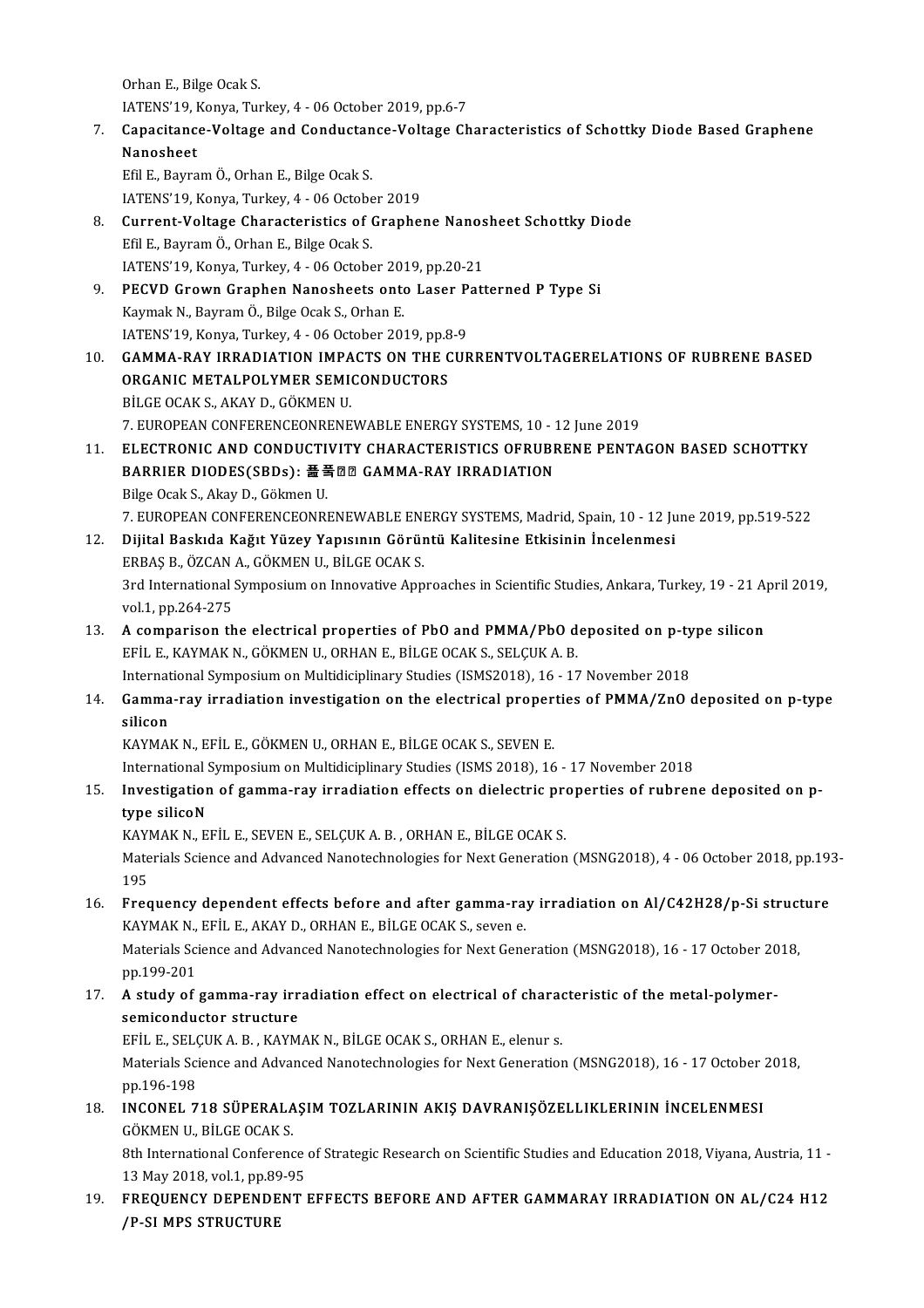Orhan E, Bilge Ocak S.

Orhan E., Bilge Ocak S.<br>IATENS'19, Konya, Turkey, 4 - 06 October 2019, pp.6-7<br>Conseitance Voltage and Conductance Voltage Ch

7. Capacitance-Voltage and Conductance-Voltage Characteristics of Schottky Diode Based Graphene **IATENS'19, I<br>Capacitance<br>Nanosheet**<br>E<sup>GLE</sup> Payro

Efil E., Bayram Ö., Orhan E., Bilge Ocak S.

- IATENS'19, Konya, Turkey, 4 06 October 2019 Efil E., Bayram Ö., Orhan E., Bilge Ocak S.<br>1ATENS'19, Konya, Turkey, 4 - 06 October 2019<br>8. Current-Voltage Characteristics of Graphene Nanosheet Schottky Diode<br>Ffil E. Bayram Ö. Orhan E. Bilge Ocak S. IATENS'19, Konya, Turkey, 4 - 06 Octobe<br>**Current-Voltage Characteristics of (**<br>Efil E., Bayram Ö., Orhan E., Bilge Ocak S.<br>LATENS'19, Konya Turkey, 4 , 06 Octobe Current-Voltage Characteristics of Graphene Nanos<br>Efil E., Bayram Ö., Orhan E., Bilge Ocak S.<br>IATENS'19, Konya, Turkey, 4 - 06 October 2019, pp.20-21<br>BECVD Crown Craphen Nanosheets onte Laser Batt
- Efil E., Bayram Ö., Orhan E., Bilge Ocak S.<br>1ATENS'19, Konya, Turkey, 4 06 October 2019, pp.20-21<br>9. PECVD Grown Graphen Nanosheets onto Laser Patterned P Type Si<br>Kaymak N. Bayram Ö. Bilge Ocak S. Orban E. IATENS'19, Konya, Turkey, 4 - 06 October 2019<br>PECVD Grown Graphen Nanosheets onto<br>Kaymak N., Bayram Ö., Bilge Ocak S., Orhan E.<br>LATENS'19, Konya Turkey, 4 - 06 October 201 PECVD Grown Graphen Nanosheets onto Laser P<br>Kaymak N., Bayram Ö., Bilge Ocak S., Orhan E.<br>IATENS'19, Konya, Turkey, 4 - 06 October 2019, pp.8-9<br>CAMMA PAY IPPADIATION IMPACTS ON THE CUP IATENS'19, Konya, Turkey, 4 - 06 October 2019, pp.8-9
- Kaymak N., Bayram Ö., Bilge Ocak S., Orhan E.<br>14TENS'19, Konya, Turkey, 4 06 October 2019, pp.8-9<br>10. GAMMA-RAY IRRADIATION IMPACTS ON THE CURRENTVOLTAGERELATIONS OF RUBRENE BASED<br>0RGANIC METALPOLYMER SEMICONDUCTORS BİLGE OCAK S., AKAY D., GÖKMEN U. 7. EUROPEAN CONFERENCEONRENEWABLE ENERGY SYSTEMS, 10 - 12 June 2019 BILGE OCAK S., AKAY D., GÖKMEN U.<br>7. EUROPEAN CONFERENCEONRENEWABLE ENERGY SYSTEMS, 10 - 12 June 2019<br>11. ELECTRONIC AND CONDUCTIVITY CHARACTERISTICS OFRUBRENE PENTAGON BASED SCHOTTKY
- 7. EUROPEAN CONFERENCEONRENEWABLE ENERGY SYSTEMS, 10 1<br>ELECTRONIC AND CONDUCTIVITY CHARACTERISTICS OFRUBF<br>BARRIER DIODES(SBDs): 聶푹図図 GAMMA-RAY IRRADIATION BARRIER DIODES(SBDs): 푪풐図図 GAMMA-RAY IRRADIATION<br>Bilge Ocak S., Akay D., Gökmen U. BARRIER DIODES(SBDs): 聶풐図図 GAMMA-RAY IRRADIATION<br>Bilge Ocak S., Akay D., Gökmen U.<br>7. EUROPEAN CONFERENCEONRENEWABLE ENERGY SYSTEMS, Madrid, Spain, 10 - 12 June 2019, pp.519-522<br>Dijital Baskids Kažit Vürsu Yanısının Görün
- Bilge Ocak S., Akay D., Gökmen U.<br>12. EUROPEAN CONFERENCEONRENEWABLE ENERGY SYSTEMS, Madrid, Spain, 10 12 Ju<br>12. Dijital Baskıda Kağıt Yüzey Yapısının Görüntü Kalitesine Etkisinin İncelenmesi<br>ERRAS R. ÖZCAN A. CÖKMEN U. 7. EUROPEAN CONFERENCEONRENEWABLE EN<br>Dijital Baskıda Kağıt Yüzey Yapısının Görür<br>ERBAŞ B., ÖZCAN A., GÖKMEN U., BİLGE OCAK S.<br>2rd International Sumposium on Inneyatiye Ann Dijital Baskıda Kağıt Yüzey Yapısının Görüntü Kalitesine Etkisinin İncelenmesi<br>ERBAŞ B., ÖZCAN A., GÖKMEN U., BİLGE OCAK S.<br>3rd International Symposium on Innovative Approaches in Scientific Studies, Ankara, Turkey, 19 - 2 ERBAŞ B., ÖZCAN<br>3rd International :<br>vol.1, pp.264-275 3rd International Symposium on Innovative Approaches in Scientific Studies, Ankara, Turkey, 19 - 21 A<br>vol.1, pp.264-275<br>13. A comparison the electrical properties of PbO and PMMA/PbO deposited on p-type silicon<br>ERILE KAYMA
- vol.1, pp.264-275<br>A comparison the electrical properties of PbO and PMMA/PbO d<br>EFİL E., KAYMAK N., GÖKMEN U., ORHAN E., BİLGE OCAK S., SELÇUK A. B.<br>International Symposium on Multidisiplinery Studies (ISMS2019), 16, -17 A comparison the electrical properties of PbO and PMMA/PbO deposited on p-ty<br>EFİL E., KAYMAK N., GÖKMEN U., ORHAN E., BİLGE OCAK S., SELÇUK A. B.<br>International Symposium on Multidiciplinary Studies (ISMS2018), 16 - 17 Nove International Symposium on Multidiciplinary Studies (ISMS2018), 16 - 17 November 2018
- EFİL E., KAYMAK N., GÖKMEN U., ORHAN E., BİLGE OCAK S., SELÇUK A. B.<br>International Symposium on Multidiciplinary Studies (ISMS2018), 16 17 November 2018<br>14. Gamma-ray irradiation investigation on the electrical propertie

KAYMAK N., EFİL E., GÖKMEN U., ORHAN E., BİLGE OCAK S., SEVEN E.

International Symposium on Multidiciplinary Studies (ISMS 2018), 16 - 17 November 2018

15. KAYMAK N., EFİL E., GÖKMEN U., ORHAN E., BİLGE OCAK S., SEVEN E.<br>15. Investigation of gamma-ray irradiation effects on dielectric properties of rubrene deposited on p-<br>15. Investigation of gamma-ray irradiation effects International <mark>:</mark><br>Investigation<br>type silicoN<br><sup>MAMAM N</sub></sup> Investigation of gamma-ray irradiation effects on dielectric production<br>type silicoN<br>KAYMAK N., EFİL E., SEVEN E., SELÇUK A. B. , ORHAN E., BİLGE OCAK S.<br>Materials Ssianse and Advanced Nanateshnalasias for Navt Conoration

type silicoN<br>KAYMAK N., EFİL E., SEVEN E., SELÇUK A. B. , ORHAN E., BİLGE OCAK S.<br>Materials Science and Advanced Nanotechnologies for Next Generation (MSNG2018), 4 - 06 October 2018, pp.193-<br>195 KAYI<br>Mate<br>195<br>Free Materials Science and Advanced Nanotechnologies for Next Generation (MSNG2018), 4 - 06 October 2018, pp.19.<br>16. Frequency dependent effects before and after gamma-ray irradiation on Al/C42H28/p-Si structure<br>KAYMAK N. ERILE

- 195<br>Frequency dependent effects before and after gamma-raj<br>KAYMAK N., EFİL E., AKAY D., ORHAN E., BİLGE OCAK S., seven e.<br>Materials Ssiense and Advanced Nanotoshnelegies for Next Cons Frequency dependent effects before and after gamma-ray irradiation on Al/C42H28/p-Si struct<br>KAYMAK N., EFİL E., AKAY D., ORHAN E., BİLGE OCAK S., seven e.<br>Materials Science and Advanced Nanotechnologies for Next Generation KAYMAK N., EFİL E., AKAY D., ORHAN E., BİLGE OCAK S., seven e.<br>Materials Science and Advanced Nanotechnologies for Next Generation (MSNG2018), 16 - 17 October 2018,<br>pp.199-201
- Materials Science and Advanced Nanotechnologies for Next Generation (MSNG2018), 16 17 October 20<br>pp.199-201<br>17. A study of gamma-ray irradiation effect on electrical of characteristic of the metal-polymer-<br>comisonductor pp.199-201<br>A study of gamma-ray irr<br>semiconductor structure<br>FEU E SELCUKA B KAYM A study of gamma-ray irradiation effect on electrical of charae<br>semiconductor structure<br>EFİL E., SELÇUK A. B. , KAYMAK N., BİLGE OCAK S., ORHAN E., elenur s.<br>Materials Science and Advanced Nanateshnalagies for Newt Conerat

semiconductor structure<br>EFİL E., SELÇUK A. B. , KAYMAK N., BİLGE OCAK S., ORHAN E., elenur s.<br>Materials Science and Advanced Nanotechnologies for Next Generation (MSNG2018), 16 - 17 October 2018,<br>pp.196-198 EFIL E., SELÇUK A. B., KAYMAK N., BİLGE OCAK S., ORHAN E., elenur s.

18. INCONEL 718 SÜPERALAŞIM TOZLARININ AKIŞ DAVRANIŞÖZELLIKLERININ İNCELENMESI pp.196-198<br>I<mark>NCONEL 718 SÜPERALA</mark><br>GÖKMEN U., BİLGE OCAK S.<br><sup>9th</sup> International Conferenc

8th International Conference of Strategic Research on Scientific Studies and Education 2018, Viyana, Austria, 11 -<br>13 May 2018, vol.1, pp.89-95 GÖKMEN U., BİLGE OCAK S.<br>8th International Conference<br>13 May 2018, vol.1, pp.89-95<br>EREQUENCY DERENDENT I 8th International Conference of Strategic Research on Scientific Studies and Education 2018, Viyana, Austria, 11<br>13 May 2018, vol.1, pp.89-95<br>19. FREQUENCY DEPENDENT EFFECTS BEFORE AND AFTER GAMMARAY IRRADIATION ON AL/C24

13 May 2018, vol.1, pp.89<br>FREQUENCY DEPENDE<br>/P-SI MPS STRUCTURE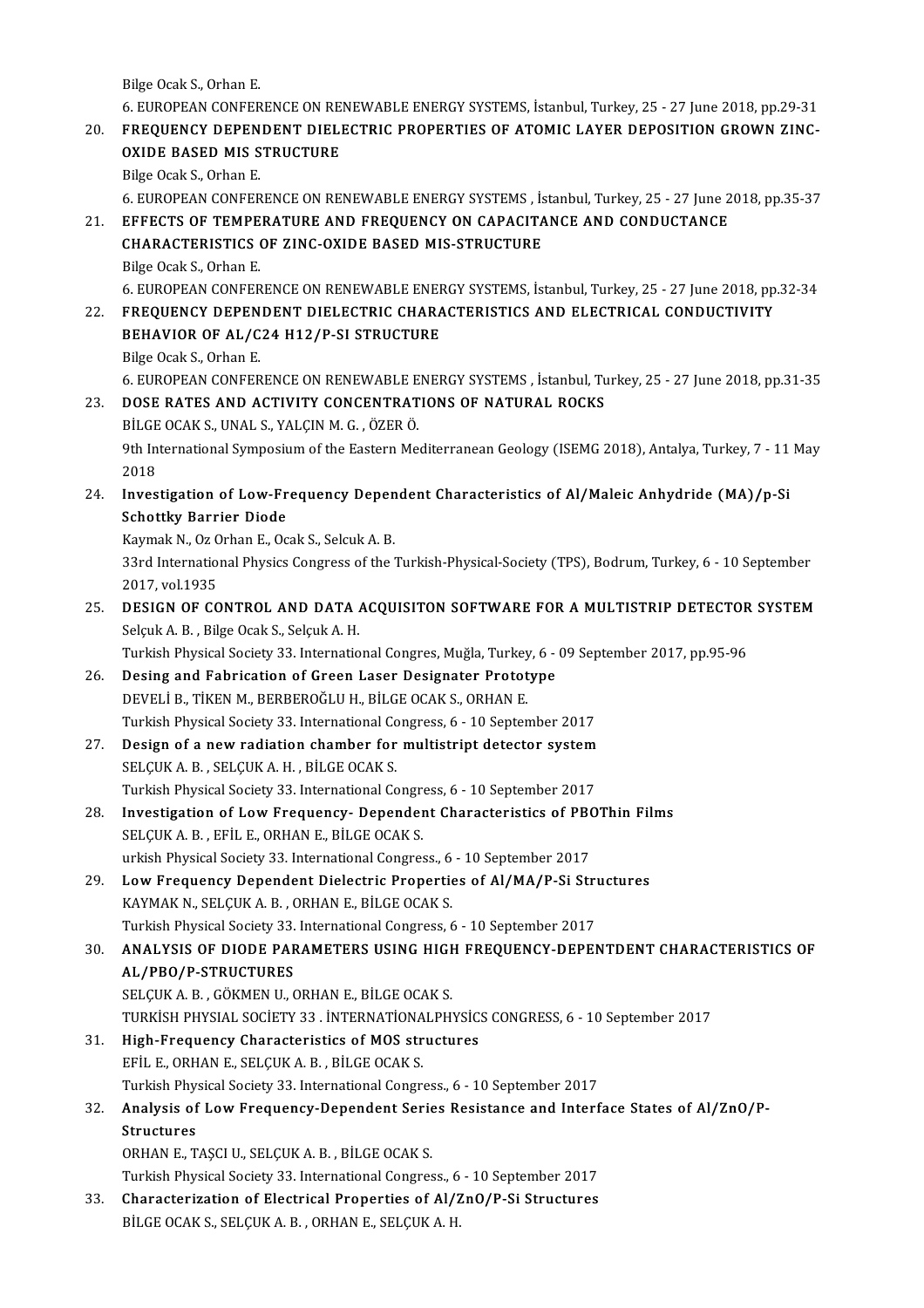Bilge Ocak S., Orhan E.

Bilge Ocak S., Orhan E.<br>6. EUROPEAN CONFERENCE ON RENEWABLE ENERGY SYSTEMS, İstanbul, Turkey, 25 - 27 June 2018, pp.29-31<br>EREQUENCY DERENDENT DIELECTRIC PROPERTIES OF ATOMIC LAYER DEROSITION CROWN ZINC Bilge Ocak S., Orhan E.<br>20. EUROPEAN CONFERENCE ON RENEWABLE ENERGY SYSTEMS, İstanbul, Turkey, 25 - 27 June 2018, pp.29-31<br>20. FREQUENCY DEPENDENT DIELECTRIC PROPERTIES OF ATOMIC LAYER DEPOSITION GROWN ZINC-<br>20. EREQUENCY 6. EUROPEAN CONFERENCE ON REN<br>FREQUENCY DEPENDENT DIELI<br>OXIDE BASED MIS STRUCTURE **FREQUENCY DEPEN<br>OXIDE BASED MIS S<br>Bilge Ocak S., Orhan E.<br>6. EUROPEAN CONEER** OXIDE BASED MIS STRUCTURE<br>Bilge Ocak S., Orhan E.<br>6. EUROPEAN CONFERENCE ON RENEWABLE ENERGY SYSTEMS , İstanbul, Turkey, 25 - 27 June 2018, pp.35-37<br>EEEECTS OF TEMPERATURE AND EREQUENCY ON CARACITANCE AND CONDUCTANCE Bilge Ocak S., Orhan E.<br>21. EUROPEAN CONFERENCE ON RENEWABLE ENERGY SYSTEMS , Istanbul, Turkey, 25 - 27 June 2<br>21. EFFECTS OF TEMPERATURE AND FREQUENCY ON CAPACITANCE AND CONDUCTANCE<br>21. EFFECTS OF TEMPERATURE ONDE PASED M 6. EUROPEAN CONFERENCE ON RENEWABLE ENERGY SYSTEMS , Is<br>EFFECTS OF TEMPERATURE AND FREQUENCY ON CAPACITA<br>CHARACTERISTICS OF ZINC-OXIDE BASED MIS-STRUCTURE<br>Bilgo Ocal: S. Orban F 21. EFFECTS OF TEMPERATURE AND FREQUENCY ON CAPACITANCE AND CONDUCTANCE<br>CHARACTERISTICS OF ZINC-OXIDE BASED MIS-STRUCTURE<br>Bilge Ocak S., Orhan E. CHARACTERISTICS OF ZINC-OXIDE BASED MIS-STRUCTURE<br>Bilge Ocak S., Orhan E.<br>6. EUROPEAN CONFERENCE ON RENEWABLE ENERGY SYSTEMS, İstanbul, Turkey, 25 - 27 June 2018, pp.32-34<br>EREQUENCY DERENDENT DIELECTRIC CHARACTERISTICS AND Bilge Ocak S., Orhan E.<br>22. EUROPEAN CONFERENCE ON RENEWABLE ENERGY SYSTEMS, İstanbul, Turkey, 25 - 27 June 2018, pp<br>22. FREQUENCY DEPENDENT DIELECTRIC CHARACTERISTICS AND ELECTRICAL CONDUCTIVITY 6. EUROPEAN CONFERENCE ON RENEWABLE ENE<br>FREQUENCY DEPENDENT DIELECTRIC CHARA<br>BEHAVIOR OF AL/C24 H12/P-SI STRUCTURE<br>Bilge Ogel: S. Orban E 22. FREQUENCY DEPENDENT DIELECTRIC CHARACTERISTICS AND ELECTRICAL CONDUCTIVITY<br>BEHAVIOR OF AL/C24 H12/P-SI STRUCTURE<br>Bilge Ocak S., Orhan E. BEHAVIOR OF AL/C24 H12/P-SI STRUCTURE<br>Bilge Ocak S., Orhan E.<br>6. EUROPEAN CONFERENCE ON RENEWABLE ENERGY SYSTEMS , İstanbul, Turkey, 25 - 27 June 2018, pp.31-35<br>DOSE RATES AND ACTIVITY CONCENTRATIONS OF NATURAL ROCKS Bilge Ocak S., Orhan E.<br>
6. EUROPEAN CONFERENCE ON RENEWABLE ENERGY SYSTEMS , İstanbul, Tu<br>
23. DOSE RATES AND ACTIVITY CONCENTRATIONS OF NATURAL ROCKS<br>
PULCE OCAK S. UNAL S. YALCIN M.C. ÖZEP Ö. 6. EUROPEAN CONFERENCE ON RENEWABLE E<br>DOSE RATES AND ACTIVITY CONCENTRAT<br>BİLGE OCAK S., UNAL S., YALÇIN M. G. , ÖZER Ö.<br>Oth International Sumnesium of the Esstern Me 9th International Symposium of the Eastern Mediterranean Geology (ISEMG 2018), Antalya, Turkey, 7 - 11 May<br>9th International Symposium of the Eastern Mediterranean Geology (ISEMG 2018), Antalya, Turkey, 7 - 11 May<br>2018 BİLGE OCAK S., UNAL S., YALÇIN M. G., ÖZER Ö. 9th International Symposium of the Eastern Mediterranean Geology (ISEMG 2018), Antalya, Turkey, 7 - 11<br>2018<br>24. Investigation of Low-Frequency Dependent Characteristics of Al/Maleic Anhydride (MA)/p-Si 2018<br>Investigation of Low-Fr<br>Schottky Barrier Diode<br>Kaymak N. Oz Orban E. Os Investigation of Low-Frequency Depen<br>Schottky Barrier Diode<br>Kaymak N., Oz Orhan E., Ocak S., Selcuk A. B.<br>22rd International Physics Congress of the 1 Schottky Barrier Diode<br>Kaymak N., Oz Orhan E., Ocak S., Selcuk A. B.<br>33rd International Physics Congress of the Turkish-Physical-Society (TPS), Bodrum, Turkey, 6 - 10 September<br>2017, vol.1935 Kaymak N., Oz Orhan E., Ocak S., Selcuk A. B. 33rd International Physics Congress of the Turkish-Physical-Society (TPS), Bodrum, Turkey, 6 - 10 September<br>2017, vol.1935<br>DESIGN OF CONTROL AND DATA ACQUISITON SOFTWARE FOR A MULTISTRIP DETECTOR SYSTEM 2017, vol.1935<br>**DESIGN OF CONTROL AND DATA**<br>Selçuk A. B. , Bilge Ocak S., Selçuk A. H.<br>Turkich Physical Society 22, Internatio DESIGN OF CONTROL AND DATA ACQUISITON SOFTWARE FOR A MULTISTRIP DETECTOR<br>Selçuk A. B. , Bilge Ocak S., Selçuk A. H.<br>Turkish Physical Society 33. International Congres, Muğla, Turkey, 6 - 09 September 2017, pp.95-96<br>Desing Selçuk A. B. , Bilge Ocak S., Selçuk A. H.<br>Turkish Physical Society 33. International Congres, Muğla, Turkey, 6 -<br>26. Desing and Fabrication of Green Laser Designater Prototype<br>DEVELI B., TIKEN M., BERBEROĞLU H., BILGE OCA Turkish Physical Society 33. International Congres, Muğla, Turkey, 6 - 09 September 2017, pp.95-96 Desing and Fabrication of Green Laser Designater Prototype<br>DEVELİ B., TİKEN M., BERBEROĞLU H., BİLGE OCAK S., ORHAN E.<br>Turkish Physical Society 33. International Congress, 6 - 10 September 2017<br>Design of a new radiation sh DEVELİ B., TİKEN M., BERBEROĞLU H., BİLGE OCAK S., ORHAN E.<br>Turkish Physical Society 33. International Congress, 6 - 10 September 2017<br>27. Design of a new radiation chamber for multistript detector system<br>SELCIV A B. SELCI Turkish Physical Society 33. International Container for<br>Design of a new radiation chamber for<br>SELÇUK A. B. , SELÇUK A. H. , BİLGE OCAK S.<br>Turkish Physical Society 22. International Co Design of a new radiation chamber for multistript detector system<br>SELÇUK A. B. , SELÇUK A. H. , BİLGE OCAK S.<br>Turkish Physical Society 33. International Congress, 6 - 10 September 2017<br>Investigation of Low Encougney, Depen SELÇUK A. B., SELÇUK A. H., BİLGE OCAK S.<br>Turkish Physical Society 33. International Congress, 6 - 10 September 2017<br>28. Investigation of Low Frequency- Dependent Characteristics of PBOThin Films<br>SELCUK A. B., FEU, E. ODHA Turkish Physical Society 33. International Congrent<br>Investigation of Low Frequency- Depender<br>SELÇUK A. B. , EFİL E., ORHAN E., BİLGE OCAK S. Investigation of Low Frequency- Dependent Characteristics of PB(<br>SELÇUK A. B. , EFİL E., ORHAN E., BİLGE OCAK S.<br>urkish Physical Society 33. International Congress., 6 - 10 September 2017<br>Low Frequency Dependent Dielectric SELÇUK A. B. , EFİL E., ORHAN E., BİLGE OCAK S.<br>urkish Physical Society 33. International Congress., 6 - 10 September 2017<br>29. Low Frequency Dependent Dielectric Properties of Al/MA/P-Si Structures<br>KAYMAK N., SELÇUK A. B. urkish Physical Society 33. International Congress., 6 - 10 September 2017 Low Frequency Dependent Dielectric Properties of Al/MA/P-Si Stru<br>KAYMAK N., SELÇUK A. B. , ORHAN E., BİLGE OCAK S.<br>Turkish Physical Society 33. International Congress, 6 - 10 September 2017<br>ANALYSIS OF DIODE PARAMETERS USI 30. ANALYSIS OF DIODE PARAMETERS USING HIGH FREQUENCY-DEPENTDENT CHARACTERISTICS OF Turkish Physical Society 33.<br>ANALYSIS OF DIODE PAR<br>AL/PBO/P-STRUCTURES<br>SELCUY A P-CÖYMEN U-C SELÇUKA.B., GÖKMENU., ORHANE., BİLGE OCAKS. AL/PBO/P-STRUCTURES<br>SELÇUK A. B. , GÖKMEN U., ORHAN E., BİLGE OCAK S.<br>TURKİSH PHYSIAL SOCİETY 33. İNTERNATİONALPHYSİCS CONGRESS, 6 - 10 September 2017<br>Hish Enequengy Charactoristics of MOS structures. 31. High-Frequency Characteristics of MOS structures<br>EFIL E., ORHAN E., SELCUK A. B., BILGE OCAK S. TURKİSH PHYSIAL SOCİETY 33 . İNTERNATİONA<br>High-Frequency Characteristics of MOS str<br>EFİL E., ORHAN E., SELÇUK A. B. , BİLGE OCAK S.<br>Turkish Physisal Sociaty 22. International Congr. High-Frequency Characteristics of MOS structures<br>EFİL E., ORHAN E., SELÇUK A. B. , BİLGE OCAK S.<br>Turkish Physical Society 33. International Congress., 6 - 10 September 2017<br>Analysis of Low Exequency Dependent Series Besist EFİL E., ORHAN E., SELÇUK A. B. , BİLGE OCAK S.<br>32. Analysis of Low Frequency-Dependent Series Resistance and Interface States of Al/ZnO/P-<br>32. Analysis of Low Frequency-Dependent Series Resistance and Interface States of Turkish Phys<br>**Analysis of<br>Structures**<br>OPHAN E. T Analysis of Low Frequency-Dependent Serie<br>Structures<br>ORHAN E., TAŞCI U., SELÇUK A. B. , BİLGE OCAK S.<br>Turkich Physisal Sosisty 22, International Congres Structures<br>ORHAN E., TAŞCI U., SELÇUK A. B. , BİLGE OCAK S.<br>Turkish Physical Society 33. International Congress., 6 - 10 September 2017 ORHAN E., TAȘCI U., SELÇUK A. B., BİLGE OCAK S.<br>Turkish Physical Society 33. International Congress., 6 - 10 September 2017<br>33. Characterization of Electrical Properties of Al/ZnO/P-Si Structures<br>PUCE OCAK S. SELCUK A. B., Turkish Physical Society 33. International Congress., 6<br><mark>Characterization of Electrical Properties of Al/</mark>7<br>BİLGE OCAK S., SELÇUK A. B. , ORHAN E., SELÇUK A. H.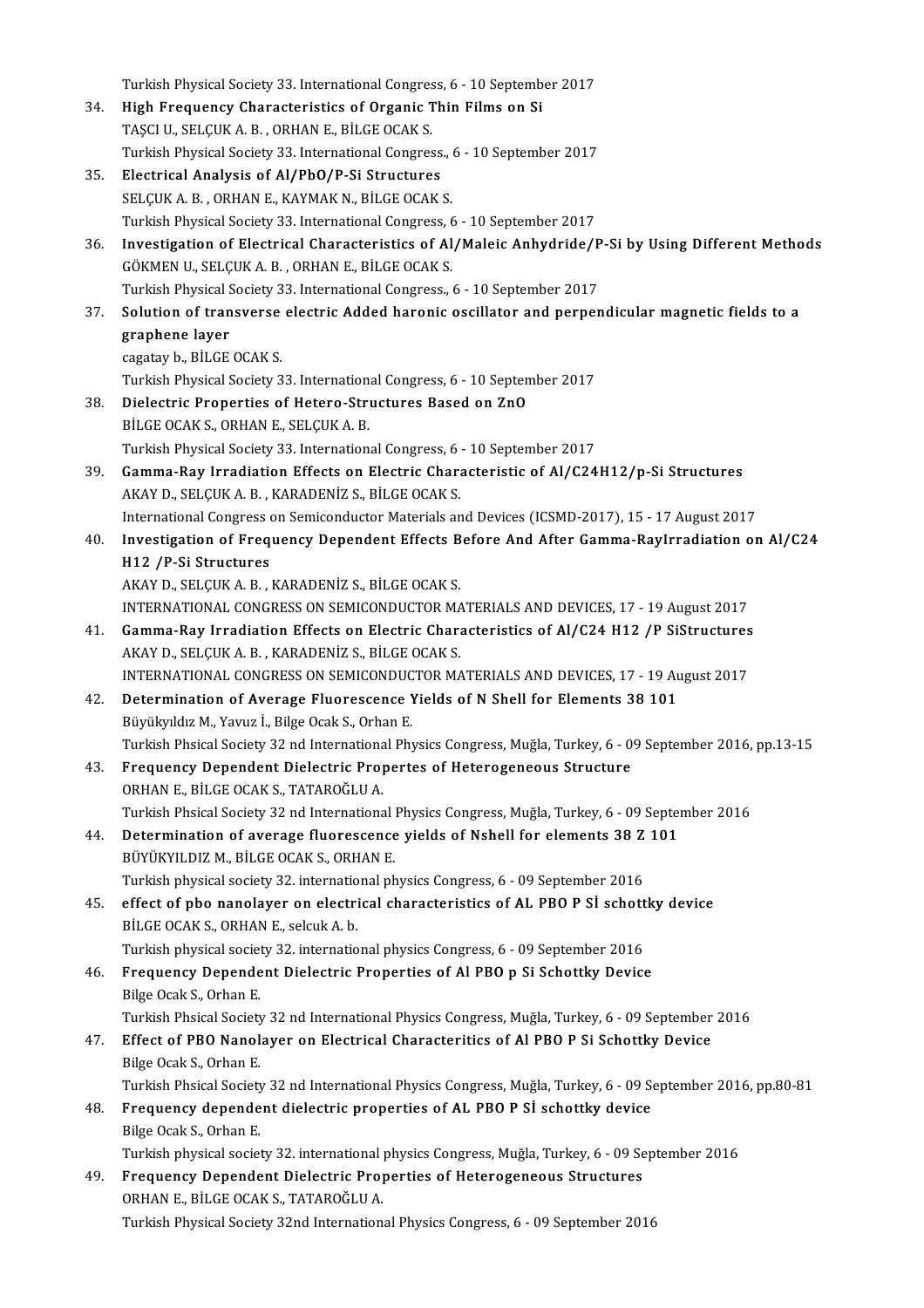|     | Turkish Physical Society 33. International Congress, 6 - 10 September 2017                                                                                                               |
|-----|------------------------------------------------------------------------------------------------------------------------------------------------------------------------------------------|
| 34  | High Frequency Characteristics of Organic Thin Films on Si                                                                                                                               |
|     | TAȘCI U., SELÇUK A. B., ORHAN E., BİLGE OCAK S.                                                                                                                                          |
|     | Turkish Physical Society 33. International Congress., 6 - 10 September 2017                                                                                                              |
| 35. | Electrical Analysis of Al/PbO/P-Si Structures                                                                                                                                            |
|     | SELÇUK A. B., ORHAN E., KAYMAK N., BİLGE OCAK S.                                                                                                                                         |
| 36. | Turkish Physical Society 33. International Congress, 6 - 10 September 2017<br>Investigation of Electrical Characteristics of Al/Maleic Anhydride/P-Si by Using Different Methods         |
|     | GÖKMEN U., SELÇUK A. B., ORHAN E., BİLGE OCAK S.                                                                                                                                         |
|     | Turkish Physical Society 33. International Congress., 6 - 10 September 2017                                                                                                              |
| 37. | Solution of transverse electric Added haronic oscillator and perpendicular magnetic fields to a                                                                                          |
|     | graphene layer                                                                                                                                                                           |
|     | cagatay b., BİLGE OCAK S.                                                                                                                                                                |
|     | Turkish Physical Society 33. International Congress, 6 - 10 September 2017                                                                                                               |
| 38. | Dielectric Properties of Hetero-Structures Based on ZnO                                                                                                                                  |
|     | BİLGE OCAK S., ORHAN E., SELÇUK A. B.                                                                                                                                                    |
|     | Turkish Physical Society 33. International Congress, 6 - 10 September 2017                                                                                                               |
| 39. | Gamma-Ray Irradiation Effects on Electric Characteristic of Al/C24H12/p-Si Structures                                                                                                    |
|     | AKAY D., SELÇUK A. B., KARADENİZ S., BİLGE OCAK S.                                                                                                                                       |
|     | International Congress on Semiconductor Materials and Devices (ICSMD-2017), 15 - 17 August 2017                                                                                          |
| 40. | Investigation of Frequency Dependent Effects Before And After Gamma-RayIrradiation on Al/C24                                                                                             |
|     | H12 /P-Si Structures                                                                                                                                                                     |
|     | AKAY D., SELÇUK A. B., KARADENİZ S., BİLGE OCAK S.                                                                                                                                       |
|     | INTERNATIONAL CONGRESS ON SEMICONDUCTOR MATERIALS AND DEVICES, 17 - 19 August 2017                                                                                                       |
| 41. | Gamma-Ray Irradiation Effects on Electric Characteristics of Al/C24 H12 /P SiStructures                                                                                                  |
|     | AKAY D., SELÇUK A. B., KARADENİZ S., BİLGE OCAK S.                                                                                                                                       |
|     | INTERNATIONAL CONGRESS ON SEMICONDUCTOR MATERIALS AND DEVICES, 17 - 19 August 2017                                                                                                       |
| 42. | Determination of Average Fluorescence Yields of N Shell for Elements 38 101<br>Büyükyıldız M., Yavuz İ., Bilge Ocak S., Orhan E.                                                         |
|     | Turkish Phsical Society 32 nd International Physics Congress, Muğla, Turkey, 6 - 09 September 2016, pp.13-15                                                                             |
| 43. | Frequency Dependent Dielectric Propertes of Heterogeneous Structure                                                                                                                      |
|     | ORHAN E, BİLGE OCAK S., TATAROĞLU A.                                                                                                                                                     |
|     | Turkish Phsical Society 32 nd International Physics Congress, Muğla, Turkey, 6 - 09 September 2016                                                                                       |
| 44. | Determination of average fluorescence yields of Nshell for elements 38 Z 101                                                                                                             |
|     | BÜYÜKYILDIZ M., BİLGE OCAK S., ORHAN E.                                                                                                                                                  |
|     | Turkish physical society 32. international physics Congress, 6 - 09 September 2016                                                                                                       |
| 45. | effect of pbo nanolayer on electrical characteristics of AL PBO P Sİ schottky device                                                                                                     |
|     | BİLGE OCAK S., ORHAN E., selcuk A. b.                                                                                                                                                    |
|     | Turkish physical society 32. international physics Congress, 6 - 09 September 2016                                                                                                       |
| 46. | Frequency Dependent Dielectric Properties of Al PBO p Si Schottky Device                                                                                                                 |
|     | Bilge Ocak S, Orhan E.                                                                                                                                                                   |
|     | Turkish Phsical Society 32 nd International Physics Congress, Muğla, Turkey, 6 - 09 September 2016                                                                                       |
| 47. | Effect of PBO Nanolayer on Electrical Characteritics of Al PBO P Si Schottky Device                                                                                                      |
|     | Bilge Ocak S., Orhan E.                                                                                                                                                                  |
|     | Turkish Phsical Society 32 nd International Physics Congress, Muğla, Turkey, 6 - 09 September 2016, pp.80-81<br>Frequency dependent dielectric properties of AL PBO P Sİ schottky device |
| 48. | Bilge Ocak S, Orhan E.                                                                                                                                                                   |
|     | Turkish physical society 32. international physics Congress, Muğla, Turkey, 6 - 09 September 2016                                                                                        |
| 49. | Frequency Dependent Dielectric Properties of Heterogeneous Structures                                                                                                                    |
|     | ORHAN E, BİLGE OCAK S., TATAROĞLU A.                                                                                                                                                     |
|     | Turkish Physical Society 32nd International Physics Congress, 6 - 09 September 2016                                                                                                      |
|     |                                                                                                                                                                                          |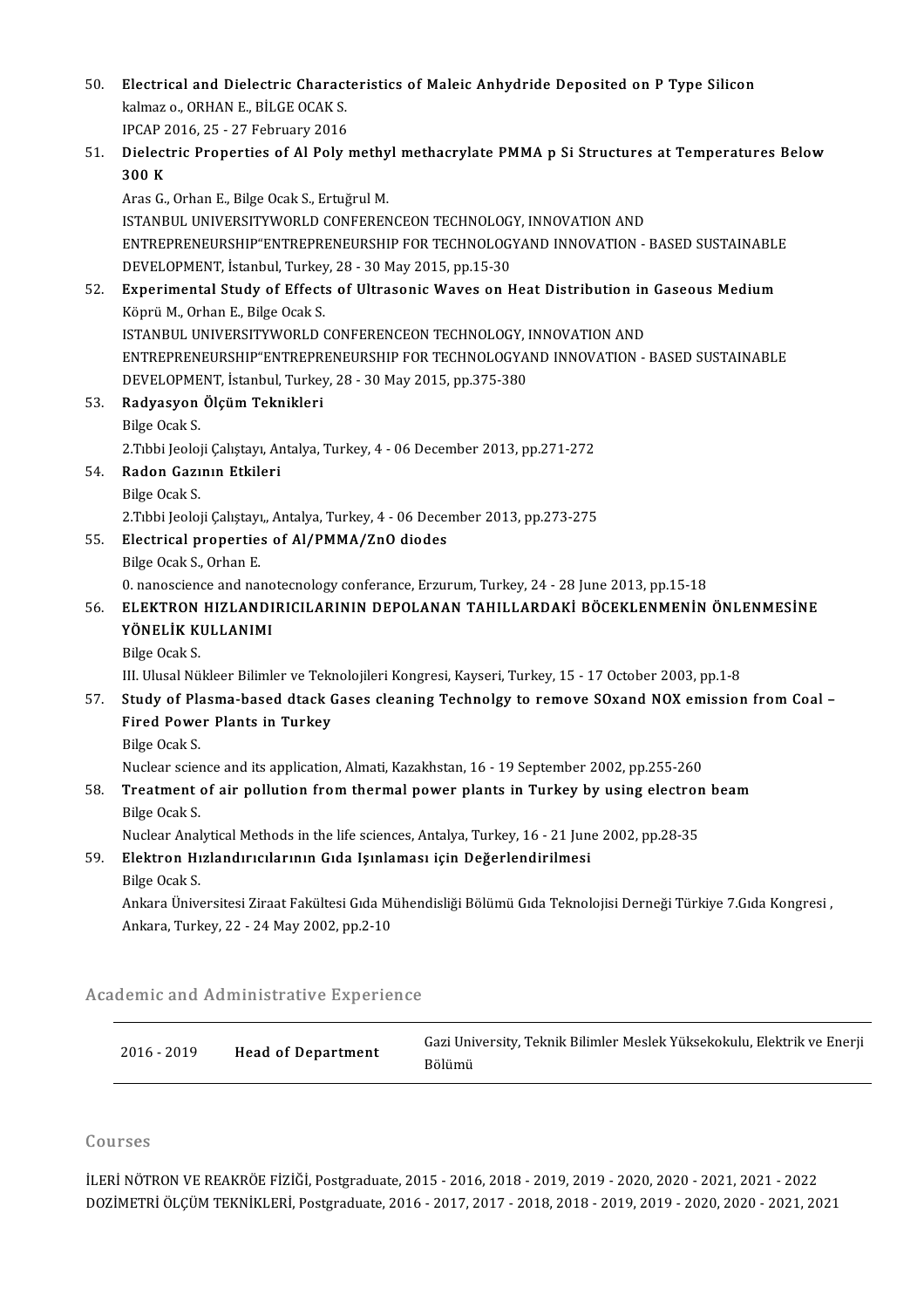50. Electrical and Dielectric Characteristics of Maleic Anhydride Deposited on P Type Silicon<br>Islmas a OBHAN E RiLCE OCAK S Electrical and Dielectric Charact<br>kalmaz o., ORHAN E., BİLGE OCAK S.<br>IPCAR 2016-25 - 27 February 2016 Electrical and Dielectric Charact<br>kalmaz o., ORHAN E., BİLGE OCAK S.<br>IPCAP 2016, 25 - 27 February 2016<br>Dielectric Properties of Al Belu :

kalmaz o., ORHAN E., BİLGE OCAK S.<br>IPCAP 2016, 25 - 27 February 2016<br>51. Dielectric Properties of Al Poly methyl methacrylate PMMA p Si Structures at Temperatures Below<br>200 K **IPCAP 2**<br>Dielect<br>300 K Dielectric Properties of Al Poly methy<br>300 K<br>Aras G., Orhan E., Bilge Ocak S., Ertuğrul M.<br>ISTANPUL UNIVERSITYWORLD CONEEREN

300 K<br>Aras G., Orhan E., Bilge Ocak S., Ertuğrul M.<br>ISTANBUL UNIVERSITYWORLD CONFERENCEON TECHNOLOGY, INNOVATION AND<br>ENTREPRENEURSHIP"ENTREPRENEURSHIP FOR TECHNOLOGYAND INNOVATION Aras G., Orhan E., Bilge Ocak S., Ertuğrul M.<br>ISTANBUL UNIVERSITYWORLD CONFERENCEON TECHNOLOGY, INNOVATION AND<br>ENTREPRENEURSHIP"ENTREPRENEURSHIP FOR TECHNOLOGYAND INNOVATION - BASED SUSTAINABLE<br>DEVELOPMENT, İstanbul, Turke ISTANBUL UNIVERSITYWORLD CONFERENCEON TECHNOLOG<br>ENTREPRENEURSHIP"ENTREPRENEURSHIP FOR TECHNOLOG<br>DEVELOPMENT, İstanbul, Turkey, 28 - 30 May 2015, pp.15-30<br>Evnorimental Study of Effects of Ultrasonia Wayes on h ENTREPRENEURSHIP"ENTREPRENEURSHIP FOR TECHNOLOGYAND INNOVATION - BASED SUSTAINABLI<br>DEVELOPMENT, İstanbul, Turkey, 28 - 30 May 2015, pp.15-30<br>52. Experimental Study of Effects of Ultrasonic Waves on Heat Distribution in Gas

## DEVELOPMENT, İstanbul, Turkey<br><mark>Experimental Study of Effec</mark>t:<br>Köprü M., Orhan E., Bilge Ocak S.<br>ISTANPUL UNIVERSITYWORLD ( Experimental Study of Effects of Ultrasonic Waves on Heat Distribution in<br>Köprü M., Orhan E., Bilge Ocak S.<br>ISTANBUL UNIVERSITYWORLD CONFERENCEON TECHNOLOGY, INNOVATION AND<br>ENTREPRENEURSHIPSENTREPRENEURSHIP FOR TECHNOLOGYA Köprü M., Orhan E., Bilge Ocak S.<br>ISTANBUL UNIVERSITYWORLD CONFERENCEON TECHNOLOGY, INNOVATION AND<br>ENTREPRENEURSHIP"ENTREPRENEURSHIP FOR TECHNOLOGYAND INNOVATION - BASED SUSTAINABLE ISTANBUL UNIVERSITYWORLD CONFERENCEON TECHNOLOGY, I<br>ENTREPRENEURSHIP"ENTREPRENEURSHIP FOR TECHNOLOGYA<br>DEVELOPMENT, İstanbul, Turkey, 28 - 30 May 2015, pp.375-380<br>Badyasyon Öleüm Teknikleri

- 53. Radyasyon Ölçüm Teknikleri<br>Bilge Ocak S. DEVELOPME<br><mark>Radyasyon</mark><br>Bilge Ocak S.<br>2.Tabi Leoloi Radyasyon Ölçüm Teknikleri<br>Bilge Ocak S.<br>2.Tıbbi Jeoloji Çalıştayı, Antalya, Turkey, 4 - 06 December 2013, pp.271-272<br>Padan Gagunu Etkileri Bilge Ocak S.<br>2.Tibbi Jeoloji Çalıştayı, Ar<br>54. Radon Gazının Etkileri<br>Bilge Osak S
- 2.Tibbi Jeoloj<br><mark>Radon Gazı</mark><br>Bilge Ocak S.<br>2.Tibbi Leoloj

Radon Gazının Etkileri<br>Bilge Ocak S.<br>2.Tıbbi Jeoloji Çalıştayı,, Antalya, Turkey, 4 - 06 December 2013, pp.273-275<br>Elestrisal propertise of Al/PMMA (7n0 diodes

# Bilge Ocak S.<br>2.Tibbi Jeoloji Çalıştayı,, Antalya, Turkey, 4 - 06 Decen<br>55. Electrical properties of Al/PMMA/ZnO diodes

2.Tibbi Jeoloji Çalıştayı<br>Electrical propertie:<br>Bilge Ocak S., Orhan E.<br>O. nanossianse and nai Electrical properties of Al/PMMA/ZnO diodes<br>Bilge Ocak S., Orhan E.<br>0. nanoscience and nanotecnology conferance, Erzurum, Turkey, 24 - 28 June 2013, pp.15-18<br>ELEKTRON HIZLANDIRICH ARININ DEROLANAN TAHU LARDAKI RÖCEKLENMENI

#### Bilge Ocak S., Orhan E.<br>6. nanoscience and nanotecnology conferance, Erzurum, Turkey, 24 - 28 June 2013, pp.15-18<br>56. ELEKTRON HIZLANDIRICILARININ DEPOLANAN TAHILLARDAKİ BÖCEKLENMENİN ÖNLENMESİNE<br>yönet ik kulu Lanımı 0. nanoscience and nano<br>ELEKTRON HIZLANDI<br>YÖNELİK KULLANIMI<br><sup>Bilgo</sup> Osak S ELEKTRON<br>YÖNELİK KI<br>Bilge Ocak S.<br>III Husal Nü **YÖNELİK KULLANIMI**<br>Bilge Ocak S.<br>III. Ulusal Nükleer Bilimler ve Teknolojileri Kongresi, Kayseri, Turkey, 15 - 17 October 2003, pp.1-8

## Bilge Ocak S.<br>III. Ulusal Nükleer Bilimler ve Teknolojileri Kongresi, Kayseri, Turkey, 15 - 17 October 2003, pp.1-8<br>57. Study of Plasma-based dtack Gases cleaning Technolgy to remove SOxand NOX emission from Coal –<br>Fined III. Ulusal Nükleer Bilimler ve Teki<br>Study of Plasma-based dtack (<br>Fired Power Plants in Turkey<br><sup>Bilgo Osak S</sup>

Fired Power Plants in Turkey<br>Bilge Ocak S.

Nuclear science and its application, Almati, Kazakhstan, 16 - 19 September 2002, pp.255-260

Bilge Ocak S.<br>Nuclear science and its application, Almati, Kazakhstan, 16 - 19 September 2002, pp.255-260<br>58. Treatment of air pollution from thermal power plants in Turkey by using electron beam Nuclear scier<br>Treatment<br>Bilge Ocak S.<br>Nuclear Anal Treatment of air pollution from thermal power plants in Turkey by using electron<br>Bilge Ocak S.<br>Nuclear Analytical Methods in the life sciences, Antalya, Turkey, 16 - 21 June 2002, pp.28-35<br>Elektron Hydandyusularunu Cide Ja Bilge Ocak S.<br>Nuclear Analytical Methods in the life sciences, Antalya, Turkey, 16 - 21 June<br>59. Elektron Hızlandırıcılarının Gıda Işınlaması için Değerlendirilmesi<br>Bilge Osak S.

# Nuclear Anal<br>**Elektron H1**<br>Bilge Ocak S.<br>Ankara Ünive

Bilge Ocak S.<br>Ankara Üniversitesi Ziraat Fakültesi Gıda Mühendisliği Bölümü Gıda Teknolojisi Derneği Türkiye 7.Gıda Kongresi , Ankara,Turkey,22-24May2002,pp.2-10

#### Academic and Administrative Experience

| demic and Administrative Experience |                           |                                                                                   |  |  |
|-------------------------------------|---------------------------|-----------------------------------------------------------------------------------|--|--|
| 2016 - 2019                         | <b>Head of Department</b> | Gazi University, Teknik Bilimler Meslek Yüksekokulu, Elektrik ve Enerji<br>Bölümü |  |  |

#### Courses

Courses<br>İLERİ NÖTRON VE REAKRÖE FİZİĞİ, Postgraduate, 2015 - 2016, 2018 - 2019, 2019 - 2020, 2020 - 2021, 2021 - 2022<br>DOZİMETRİ ÖLCÜM TEKNİKLERL Postgraduata 2016 - 2017, 2017, 2019, 2019, 2019, 2019, 2020, 2020, 2021, 20 00a1999<br>İLERİ NÖTRON VE REAKRÖE FİZİĞİ, Postgraduate, 2015 - 2016, 2018 - 2019, 2019 - 2020, 2020 - 2021, 2021 - 2022<br>DOZİMETRİ ÖLÇÜM TEKNİKLERİ, Postgraduate, 2016 - 2017, 2017 - 2018, 2018 - 2019, 2019 - 2020, 2020 - 202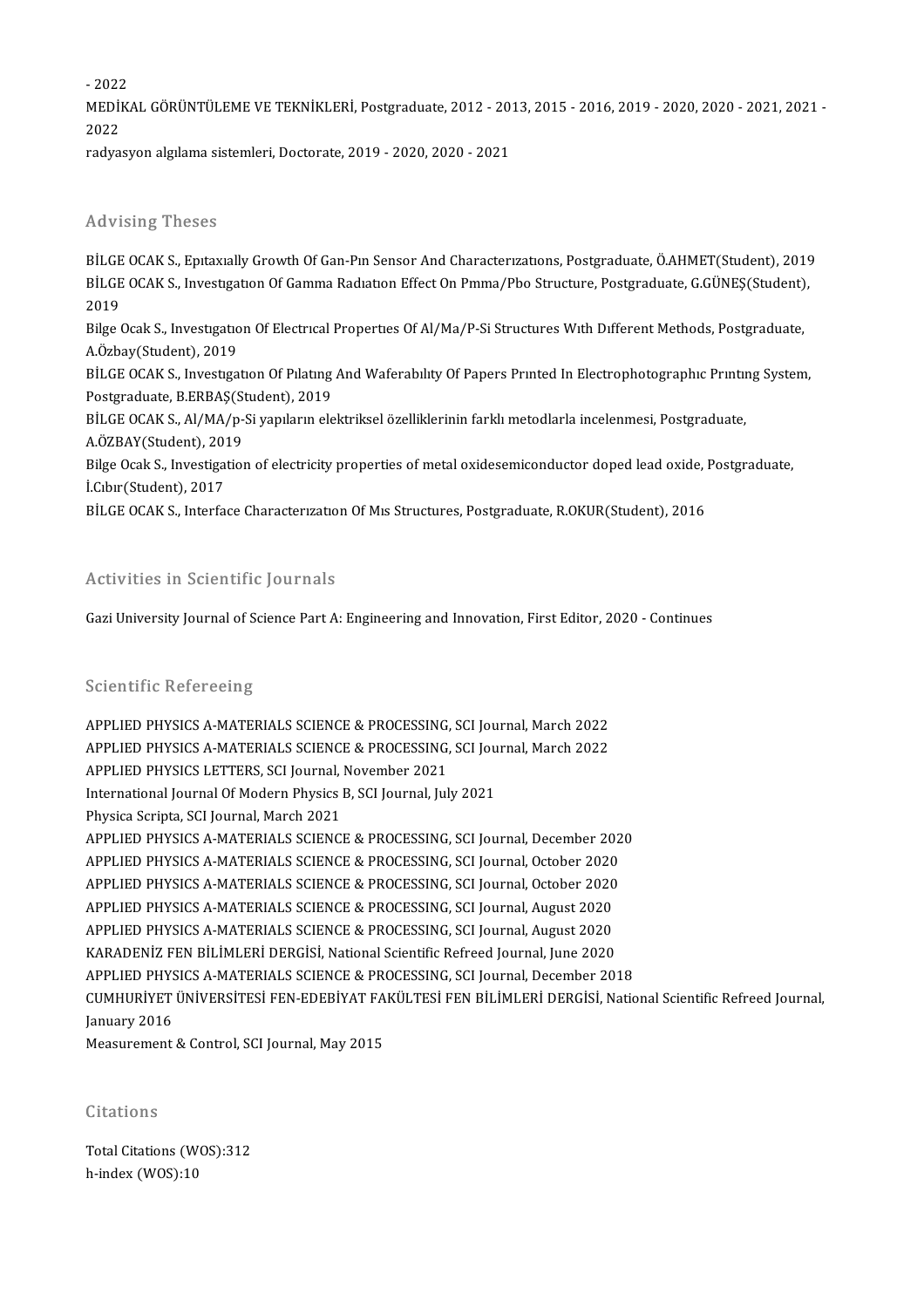-2022

- 2022<br>MEDİKAL GÖRÜNTÜLEME VE TEKNİKLERİ, Postgraduate, 2012 - 2013, 2015 - 2016, 2019 - 2020, 2020 - 2021, 2021 -<br>2022 - 2022<br>MEDII<br>2022<br>redve MEDİKAL GÖRÜNTÜLEME VE TEKNİKLERİ, Postgraduate, 2012 - 20:<br>2022<br>radyasyon algılama sistemleri, Doctorate, 2019 - 2020, 2020 - 2021

radyasyon algılama sistemleri, Doctorate, 2019 - 2020, 2020 - 2021<br>Advising Theses

Advising Theses<br>BİLGE OCAK S., Epıtaxıally Growth Of Gan-Pın Sensor And Characterizations, Postgraduate, Ö.AHMET(Student), 2019<br>PİLGE OCAK S., Investisation Of Camma Badiation Effect On Pinma (Pho Structure, Postgraduate, rta viorn<sub>is Arrobob</sup><br>BİLGE OCAK S., Epitaxially Growth Of Gan-Pin Sensor And Characterizations, Postgraduate, Ö.AHMET(Student), 2019<br>BİLGE OCAK S., Investigation Of Gamma Radiation Effect On Pmma/Pbo Structure, Postgradua</sub> BILGE<br>BILGE<br>2019<br><sup>Bilge</sup> ! BİLGE OCAK S., Investıgatıon Of Gamma Radıatıon Effect On Pmma/Pbo Structure, Postgraduate, G.GÜNEŞ(Student)<br>2019<br>Bilge Ocak S., Investıgatıon Of Electrıcal Properties Of Al/Ma/P-Si Structures With Different Methods, Postg 2019<br>Bilge Ocak S., Investigatio<br>A.Özbay(Student), 2019<br>P<sup>il CE OCAK S.</sup>, Investige Bilge Ocak S., Investigation Of Electrical Properties Of Al/Ma/P-Si Structures With Different Methods, Postgraduate,<br>A.Özbay(Student), 2019<br>BILGE OCAK S., Investigation Of Pilating And Waferability Of Papers Printed In Ele A.Özbay(Student), 2019<br>BİLGE OCAK S., Investigation Of Pilating<br>Postgraduate, B.ERBAŞ(Student), 2019<br>BİLGE OCAK S. AL(MA /p.Si yapıların ola BİLGE OCAK S., Investigation Of Pilating And Waferability Of Papers Printed In Electrophotographic Printin<br>Postgraduate, B.ERBAŞ(Student), 2019<br>BİLGE OCAK S., Al/MA/p-Si yapıların elektriksel özelliklerinin farklı metodlar Postgraduate, B.ERBAŞ(Student), 2019<br>BİLGE OCAK S., Al/MA/p-Si yapıların elektriksel özelliklerinin farklı metodlarla incelenmesi, Postgraduate,<br>A.ÖZBAY(Student), 2019 BİLGE OCAK S., Al/MA/p-Si yapıların elektriksel özelliklerinin farklı metodlarla incelenmesi, Postgraduate,<br>A.ÖZBAY(Student), 2019<br>Bilge Ocak S., Investigation of electricity properties of metal oxidesemiconductor doped le A.ÖZBAY(Student), 2013<br>Bilge Ocak S., Investiga<br>İ.Cıbır(Student), 2017<br>Bil CE OCAK S., Interfa Bilge Ocak S., Investigation of electricity properties of metal oxidesemiconductor doped lead oxide, l<br>İ.Cıbır(Student), 2017<br>BİLGE OCAK S., Interface Characterızatıon Of Mıs Structures, Postgraduate, R.OKUR(Student), 2016

BİLGE OCAK S., Interface Characterization Of Mis Structures, Postgraduate, R.OKUR(Student), 2016<br>Activities in Scientific Journals

Gazi University Journal of Science Part A: Engineering and Innovation, First Editor, 2020 - Continues

#### Scientific Refereeing

Scientific Refereeing<br>APPLIED PHYSICS A-MATERIALS SCIENCE & PROCESSING, SCI Journal, March 2022<br>APPLIED PHYSICS A MATERIALS SCIENCE & PROCESSING, SCI Journal March 2022 BETENTIFY REFERENCE:<br>APPLIED PHYSICS A-MATERIALS SCIENCE & PROCESSING, SCI Journal, March 2022<br>APPLIED PHYSICS A-MATERIALS SCIENCE & PROCESSING, SCI Journal, March 2022<br>APPLIED PHYSICS LETTERS, SCI Journal, November 2021 APPLIED PHYSICS A-MATERIALS SCIENCE & PROCESSING,<br>APPLIED PHYSICS A-MATERIALS SCIENCE & PROCESSING,<br>APPLIED PHYSICS LETTERS, SCI Journal, November 2021<br>International Journal Of Modern Physics B. SCI Journal, Jul APPLIED PHYSICS A-MATERIALS SCIENCE & PROCESSING, SCI Journal, March 2022<br>APPLIED PHYSICS LETTERS, SCI Journal, November 2021<br>International Journal Of Modern Physics B, SCI Journal, July 2021<br>Physica Scripta, SCI Journal, International Journal Of Modern Physics B, SCI Journal, July 2021 International Journal Of Modern Physics B, SCI Journal, July 2021<br>Physica Scripta, SCI Journal, March 2021<br>APPLIED PHYSICS A-MATERIALS SCIENCE & PROCESSING, SCI Journal, December 2020<br>APPLIED PHYSICS A-MATERIALS SCIENCE & Physica Scripta, SCI Journal, March 2021<br>APPLIED PHYSICS A-MATERIALS SCIENCE & PROCESSING, SCI Journal, December 202<br>APPLIED PHYSICS A-MATERIALS SCIENCE & PROCESSING, SCI Journal, October 2020<br>APPLIED PHYSICS A-MATERIALS S APPLIED PHYSICS A-MATERIALS SCIENCE & PROCESSING, SCI Journal, December 202<br>APPLIED PHYSICS A-MATERIALS SCIENCE & PROCESSING, SCI Journal, October 2020<br>APPLIED PHYSICS A-MATERIALS SCIENCE & PROCESSING, SCI Journal, October APPLIED PHYSICS A-MATERIALS SCIENCE & PROCESSING, SCI Journal, October 2020<br>APPLIED PHYSICS A-MATERIALS SCIENCE & PROCESSING, SCI Journal, October 2020<br>APPLIED PHYSICS A-MATERIALS SCIENCE & PROCESSING, SCI Journal, August APPLIED PHYSICS A-MATERIALS SCIENCE & PROCESSING, SCI Journal, October 2020<br>APPLIED PHYSICS A-MATERIALS SCIENCE & PROCESSING, SCI Journal, August 2020<br>APPLIED PHYSICS A-MATERIALS SCIENCE & PROCESSING, SCI Journal, August 2 APPLIED PHYSICS A-MATERIALS SCIENCE & PROCESSING, SCI Journal, August 2020<br>APPLIED PHYSICS A-MATERIALS SCIENCE & PROCESSING, SCI Journal, August 2020<br>KARADENİZ FEN BİLİMLERİ DERGİSİ, National Scientific Refreed Journal, Ju APPLIED PHYSICS A-MATERIALS SCIENCE & PROCESSING, SCI Journal, August 2020<br>KARADENİZ FEN BİLİMLERİ DERGİSİ, National Scientific Refreed Journal, June 2020<br>APPLIED PHYSICS A-MATERIALS SCIENCE & PROCESSING, SCI Journal, Dece KARADENİZ FEN BİLİMLERİ DERGİSİ, National Scientific Refreed Journal, June 2020<br>APPLIED PHYSICS A-MATERIALS SCIENCE & PROCESSING, SCI Journal, December 2018<br>CUMHURİYET ÜNİVERSİTESİ FEN-EDEBİYAT FAKÜLTESİ FEN BİLİMLERİ DERG APPLIED PHYS<br>CUMHURIYET<br>January 2016<br>Measurement Measurement & Control, SCI Journal, May 2015

Citations

Total Citations (WOS):312 h-index (WOS):10